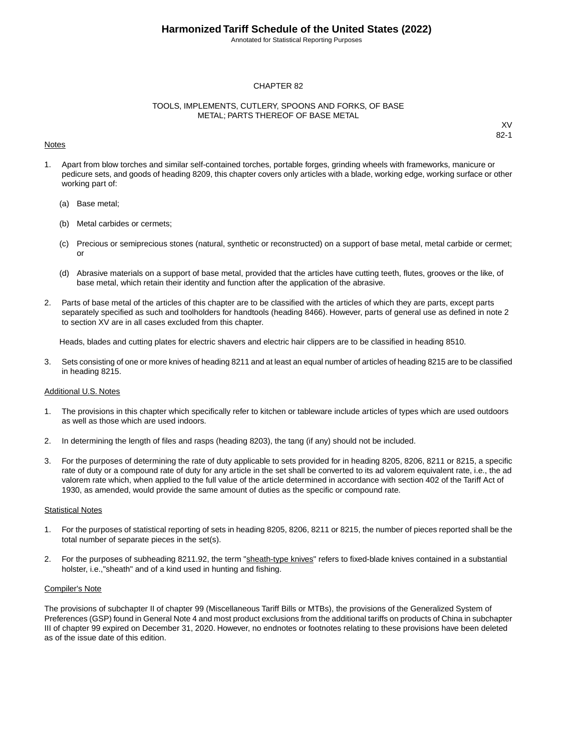Annotated for Statistical Reporting Purposes

#### CHAPTER 82

#### TOOLS, IMPLEMENTS, CUTLERY, SPOONS AND FORKS, OF BASE METAL; PARTS THEREOF OF BASE METAL

#### Notes

XV 82-1

- 1. Apart from blow torches and similar self-contained torches, portable forges, grinding wheels with frameworks, manicure or pedicure sets, and goods of heading 8209, this chapter covers only articles with a blade, working edge, working surface or other working part of:
	- (a) Base metal;
	- (b) Metal carbides or cermets;
	- (c) Precious or semiprecious stones (natural, synthetic or reconstructed) on a support of base metal, metal carbide or cermet; or
	- (d) Abrasive materials on a support of base metal, provided that the articles have cutting teeth, flutes, grooves or the like, of base metal, which retain their identity and function after the application of the abrasive.
- 2. Parts of base metal of the articles of this chapter are to be classified with the articles of which they are parts, except parts separately specified as such and toolholders for handtools (heading 8466). However, parts of general use as defined in note 2 to section XV are in all cases excluded from this chapter.

Heads, blades and cutting plates for electric shavers and electric hair clippers are to be classified in heading 8510.

3. Sets consisting of one or more knives of heading 8211 and at least an equal number of articles of heading 8215 are to be classified in heading 8215.

#### Additional U.S. Notes

- 1. The provisions in this chapter which specifically refer to kitchen or tableware include articles of types which are used outdoors as well as those which are used indoors.
- 2. In determining the length of files and rasps (heading 8203), the tang (if any) should not be included.
- 3. For the purposes of determining the rate of duty applicable to sets provided for in heading 8205, 8206, 8211 or 8215, a specific rate of duty or a compound rate of duty for any article in the set shall be converted to its ad valorem equivalent rate, i.e., the ad valorem rate which, when applied to the full value of the article determined in accordance with section 402 of the Tariff Act of 1930, as amended, would provide the same amount of duties as the specific or compound rate.

#### **Statistical Notes**

- 1. For the purposes of statistical reporting of sets in heading 8205, 8206, 8211 or 8215, the number of pieces reported shall be the total number of separate pieces in the set(s).
- 2. For the purposes of subheading 8211.92, the term "sheath-type knives" refers to fixed-blade knives contained in a substantial holster, i.e.,"sheath" and of a kind used in hunting and fishing.

#### Compiler's Note

The provisions of subchapter II of chapter 99 (Miscellaneous Tariff Bills or MTBs), the provisions of the Generalized System of Preferences (GSP) found in General Note 4 and most product exclusions from the additional tariffs on products of China in subchapter III of chapter 99 expired on December 31, 2020. However, no endnotes or footnotes relating to these provisions have been deleted as of the issue date of this edition.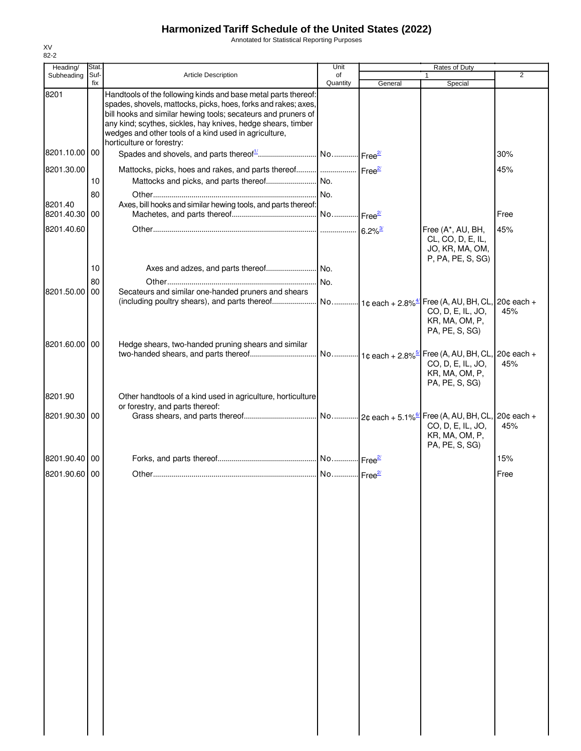Annotated for Statistical Reporting Purposes

| Heading/                 | Stat.       |                                                                                                                                                                                                                                                                                                                                                         | Unit           |                                 | Rates of Duty                                                                            |                |
|--------------------------|-------------|---------------------------------------------------------------------------------------------------------------------------------------------------------------------------------------------------------------------------------------------------------------------------------------------------------------------------------------------------------|----------------|---------------------------------|------------------------------------------------------------------------------------------|----------------|
| Subheading               | Suf-<br>fix | <b>Article Description</b>                                                                                                                                                                                                                                                                                                                              | of<br>Quantity | General                         | 1<br>Special                                                                             | $\overline{2}$ |
| 8201                     |             | Handtools of the following kinds and base metal parts thereof:<br>spades, shovels, mattocks, picks, hoes, forks and rakes; axes,<br>bill hooks and similar hewing tools; secateurs and pruners of<br>any kind; scythes, sickles, hay knives, hedge shears, timber<br>wedges and other tools of a kind used in agriculture,<br>horticulture or forestry: |                |                                 |                                                                                          |                |
| 8201.10.00 00            |             |                                                                                                                                                                                                                                                                                                                                                         |                |                                 |                                                                                          | 30%            |
| 8201.30.00               |             | Mattocks, picks, hoes and rakes, and parts thereof     Free <sup>2</sup>                                                                                                                                                                                                                                                                                |                |                                 |                                                                                          | 45%            |
|                          | 10          |                                                                                                                                                                                                                                                                                                                                                         |                |                                 |                                                                                          |                |
|                          | 80          |                                                                                                                                                                                                                                                                                                                                                         |                |                                 |                                                                                          |                |
| 8201.40<br>8201.40.30 00 |             | Axes, bill hooks and similar hewing tools, and parts thereof:                                                                                                                                                                                                                                                                                           |                |                                 |                                                                                          | Free           |
| 8201.40.60               |             |                                                                                                                                                                                                                                                                                                                                                         |                |                                 | Free (A*, AU, BH,<br>CL, CO, D, E, IL,<br>JO, KR, MA, OM,<br>P, PA, PE, S, SG)           | 45%            |
|                          | 10          |                                                                                                                                                                                                                                                                                                                                                         |                |                                 |                                                                                          |                |
|                          | 80          |                                                                                                                                                                                                                                                                                                                                                         |                |                                 |                                                                                          |                |
| 8201.50.00 00            |             | Secateurs and similar one-handed pruners and shears                                                                                                                                                                                                                                                                                                     |                |                                 |                                                                                          |                |
|                          |             | (including poultry shears), and parts thereof                                                                                                                                                                                                                                                                                                           |                | No 1¢ each + 2.8% <sup>4/</sup> | Free (A, AU, BH, CL, 20¢ each +<br>CO, D, E, IL, JO,<br>KR, MA, OM, P,<br>PA, PE, S, SG) | 45%            |
| 8201.60.00 00            |             | Hedge shears, two-handed pruning shears and similar                                                                                                                                                                                                                                                                                                     |                |                                 | CO, D, E, IL, JO,<br>KR, MA, OM, P,<br>PA, PE, S, SG)                                    | 45%            |
| 8201.90                  |             | Other handtools of a kind used in agriculture, horticulture                                                                                                                                                                                                                                                                                             |                |                                 |                                                                                          |                |
| 8201.90.30 00            |             | or forestry, and parts thereof:                                                                                                                                                                                                                                                                                                                         |                |                                 | CO, D, E, IL, JO,<br>KR, MA, OM, P,<br>PA, PE, S, SG)                                    | 45%            |
| 8201.90.40 00            |             |                                                                                                                                                                                                                                                                                                                                                         |                |                                 |                                                                                          | 15%            |
| 8201.90.60 00            |             |                                                                                                                                                                                                                                                                                                                                                         |                |                                 |                                                                                          | Free           |
|                          |             |                                                                                                                                                                                                                                                                                                                                                         |                |                                 |                                                                                          |                |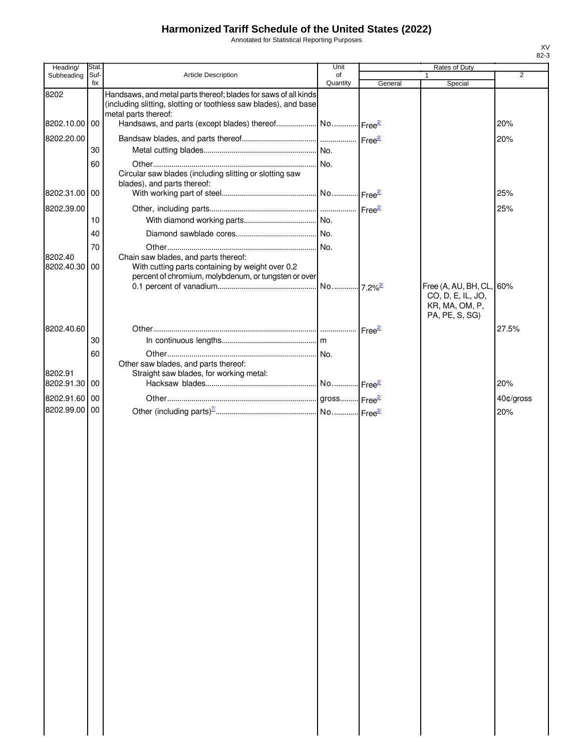Annotated for Statistical Reporting Purposes

| Heading/              | Stat.       |                                                                                                                                                  | Unit           |         | Rates of Duty                                                                     |                |
|-----------------------|-------------|--------------------------------------------------------------------------------------------------------------------------------------------------|----------------|---------|-----------------------------------------------------------------------------------|----------------|
| Subheading            | Suf-<br>fix | <b>Article Description</b>                                                                                                                       | of<br>Quantity | General | Special                                                                           | $\overline{2}$ |
| 8202                  |             | Handsaws, and metal parts thereof; blades for saws of all kinds<br>(including slitting, slotting or toothless saw blades), and base              |                |         |                                                                                   |                |
| 8202.10.00            | 00          | metal parts thereof:                                                                                                                             |                |         |                                                                                   | 20%            |
| 8202.20.00            |             |                                                                                                                                                  |                |         |                                                                                   | 20%            |
|                       | 30          |                                                                                                                                                  |                |         |                                                                                   |                |
|                       | 60          |                                                                                                                                                  |                |         |                                                                                   |                |
|                       |             | Circular saw blades (including slitting or slotting saw<br>blades), and parts thereof:                                                           |                |         |                                                                                   |                |
| 8202.31.00 00         |             |                                                                                                                                                  |                |         |                                                                                   | 25%            |
| 8202.39.00            |             |                                                                                                                                                  |                |         |                                                                                   | 25%            |
|                       | 10          |                                                                                                                                                  |                |         |                                                                                   |                |
|                       | 40          |                                                                                                                                                  |                |         |                                                                                   |                |
|                       | 70          |                                                                                                                                                  |                |         |                                                                                   |                |
| 8202.40<br>8202.40.30 | 00          | Chain saw blades, and parts thereof:<br>With cutting parts containing by weight over 0.2<br>percent of chromium, molybdenum, or tungsten or over |                |         |                                                                                   |                |
|                       |             |                                                                                                                                                  |                |         | Free (A, AU, BH, CL, 60%<br>CO, D, E, IL, JO,<br>KR, MA, OM, P,<br>PA, PE, S, SG) |                |
| 8202.40.60            |             |                                                                                                                                                  |                |         |                                                                                   | 27.5%          |
|                       | 30          |                                                                                                                                                  |                |         |                                                                                   |                |
|                       | 60          |                                                                                                                                                  |                |         |                                                                                   |                |
| 8202.91               |             | Other saw blades, and parts thereof:<br>Straight saw blades, for working metal:                                                                  |                |         |                                                                                   |                |
| 8202.91.30            | 00          |                                                                                                                                                  |                |         |                                                                                   | 20%            |
| 8202.91.60            | 00          |                                                                                                                                                  |                |         |                                                                                   | 40¢/gross      |
| 8202.99.00            | 00          |                                                                                                                                                  |                |         |                                                                                   | 20%            |
|                       |             |                                                                                                                                                  |                |         |                                                                                   |                |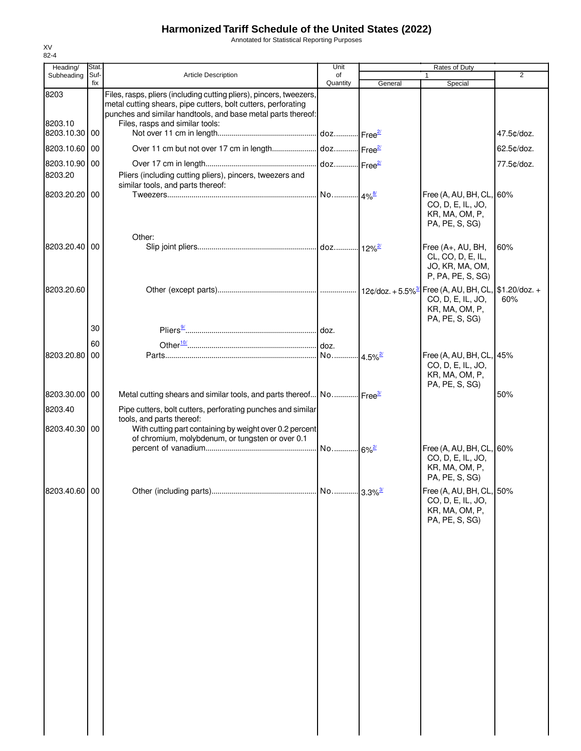Annotated for Statistical Reporting Purposes

| Heading/                 | Stat.       |                                                                                                                                                                                                                                         | Unit           |                       | Rates of Duty                                                                               |                |
|--------------------------|-------------|-----------------------------------------------------------------------------------------------------------------------------------------------------------------------------------------------------------------------------------------|----------------|-----------------------|---------------------------------------------------------------------------------------------|----------------|
| Subheading               | Suf-<br>fix | <b>Article Description</b>                                                                                                                                                                                                              | of<br>Quantity | General               | $\mathbf{1}$<br>Special                                                                     | $\overline{2}$ |
| 8203<br>8203.10          |             | Files, rasps, pliers (including cutting pliers), pincers, tweezers,<br>metal cutting shears, pipe cutters, bolt cutters, perforating<br>punches and similar handtools, and base metal parts thereof:<br>Files, rasps and similar tools: |                |                       |                                                                                             |                |
| 8203.10.30 00            |             |                                                                                                                                                                                                                                         |                |                       |                                                                                             | 47.5¢/doz.     |
| 8203.10.60 00            |             |                                                                                                                                                                                                                                         |                |                       |                                                                                             | 62.5¢/doz.     |
| 8203.10.90 00            |             |                                                                                                                                                                                                                                         |                |                       |                                                                                             | 77.5¢/doz.     |
| 8203.20                  |             | Pliers (including cutting pliers), pincers, tweezers and<br>similar tools, and parts thereof:                                                                                                                                           |                |                       |                                                                                             |                |
| 8203.20.20 00            |             |                                                                                                                                                                                                                                         |                |                       | Free (A, AU, BH, CL, 60%<br>CO, D, E, IL, JO,<br>KR, MA, OM, P,<br>PA, PE, S, SG)           |                |
| 8203.20.40 00            |             | Other:                                                                                                                                                                                                                                  |                |                       | Free (A+, AU, BH,<br>CL, CO, D, E, IL,<br>JO, KR, MA, OM,<br>P, PA, PE, S, SG)              | 60%            |
| 8203.20.60               |             |                                                                                                                                                                                                                                         |                |                       | Free (A, AU, BH, CL, \$1.20/doz. +<br>CO, D, E, IL, JO,<br>KR, MA, OM, P,<br>PA, PE, S, SG) | 60%            |
|                          | 30          |                                                                                                                                                                                                                                         |                |                       |                                                                                             |                |
|                          | 60          |                                                                                                                                                                                                                                         |                |                       |                                                                                             |                |
| 8203.20.80 00            |             |                                                                                                                                                                                                                                         |                | $4.5\%$ <sup>2/</sup> | Free (A, AU, BH, CL, 45%<br>CO, D, E, IL, JO,<br>KR, MA, OM, P,<br>PA, PE, S, SG)           |                |
| 8203.30.00 00            |             | Metal cutting shears and similar tools, and parts thereof No Free <sup>34</sup>                                                                                                                                                         |                |                       |                                                                                             | 50%            |
| 8203.40<br>8203.40.30 00 |             | Pipe cutters, bolt cutters, perforating punches and similar<br>tools, and parts thereof:<br>With cutting part containing by weight over 0.2 percent                                                                                     |                |                       |                                                                                             |                |
|                          |             | of chromium, molybdenum, or tungsten or over 0.1                                                                                                                                                                                        |                |                       | Free (A, AU, BH, CL, 60%<br>CO, D, E, IL, JO,<br>KR, MA, OM, P,<br>PA, PE, S, SG)           |                |
| 8203.40.60 00            |             |                                                                                                                                                                                                                                         |                |                       | Free (A, AU, BH, CL, 50%<br>CO, D, E, IL, JO,<br>KR, MA, OM, P,<br>PA, PE, S, SG)           |                |
|                          |             |                                                                                                                                                                                                                                         |                |                       |                                                                                             |                |
|                          |             |                                                                                                                                                                                                                                         |                |                       |                                                                                             |                |
|                          |             |                                                                                                                                                                                                                                         |                |                       |                                                                                             |                |
|                          |             |                                                                                                                                                                                                                                         |                |                       |                                                                                             |                |
|                          |             |                                                                                                                                                                                                                                         |                |                       |                                                                                             |                |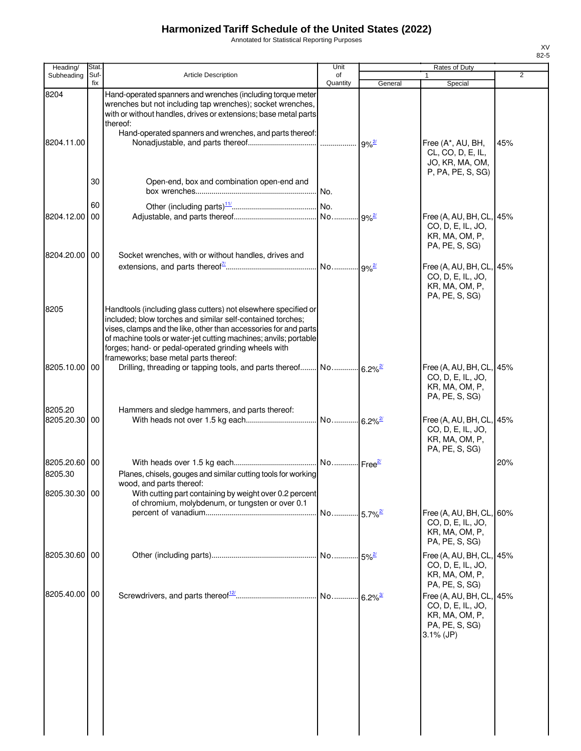Annotated for Statistical Reporting Purposes

| Heading/                 | Stat.       |                                                                                                                                                                                                                                                                                                                                                                       | Unit                  |                      | Rates of Duty                                                                                     |     |
|--------------------------|-------------|-----------------------------------------------------------------------------------------------------------------------------------------------------------------------------------------------------------------------------------------------------------------------------------------------------------------------------------------------------------------------|-----------------------|----------------------|---------------------------------------------------------------------------------------------------|-----|
| Subheading               | Suf-<br>fix | <b>Article Description</b>                                                                                                                                                                                                                                                                                                                                            | of<br>Quantity        | General              | 1<br>Special                                                                                      | 2   |
| 8204<br>8204.11.00       |             | Hand-operated spanners and wrenches (including torque meter<br>wrenches but not including tap wrenches); socket wrenches,<br>with or without handles, drives or extensions; base metal parts<br>thereof:<br>Hand-operated spanners and wrenches, and parts thereof:                                                                                                   |                       |                      | Free (A*, AU, BH,<br>CL, CO, D, E, IL,<br>JO, KR, MA, OM,<br>P, PA, PE, S, SG)                    | 45% |
|                          | 30          | Open-end, box and combination open-end and                                                                                                                                                                                                                                                                                                                            | No.                   |                      |                                                                                                   |     |
| 8204.12.00               | 60<br>00    |                                                                                                                                                                                                                                                                                                                                                                       |                       |                      | Free (A, AU, BH, CL, 45%<br>CO, D, E, IL, JO,<br>KR, MA, OM, P,<br>PA, PE, S, SG)                 |     |
| 8204.20.00 00            |             | Socket wrenches, with or without handles, drives and                                                                                                                                                                                                                                                                                                                  |                       |                      | Free (A, AU, BH, CL, 45%<br>CO, D, E, IL, JO,<br>KR, MA, OM, P,<br>PA, PE, S, SG)                 |     |
| 8205                     |             | Handtools (including glass cutters) not elsewhere specified or<br>included; blow torches and similar self-contained torches;<br>vises, clamps and the like, other than accessories for and parts<br>of machine tools or water-jet cutting machines; anvils; portable<br>forges; hand- or pedal-operated grinding wheels with<br>frameworks; base metal parts thereof: |                       |                      |                                                                                                   |     |
| 8205.10.00 00            |             | Drilling, threading or tapping tools, and parts thereof No 6.2% <sup>27</sup>                                                                                                                                                                                                                                                                                         |                       |                      | Free (A, AU, BH, CL, 45%<br>CO, D, E, IL, JO,<br>KR, MA, OM, P,<br>PA, PE, S, SG)                 |     |
| 8205.20<br>8205.20.30 00 |             | Hammers and sledge hammers, and parts thereof:                                                                                                                                                                                                                                                                                                                        | No 6.2% <sup>2/</sup> |                      | Free (A, AU, BH, CL, 45%<br>CO, D, E, IL, JO,<br>KR, MA, OM, P,<br>PA, PE, S, SG)                 |     |
| 8205.20.60 00<br>8205.30 |             | Planes, chisels, gouges and similar cutting tools for working<br>wood, and parts thereof:                                                                                                                                                                                                                                                                             |                       |                      |                                                                                                   | 20% |
| 8205.30.30 00            |             | With cutting part containing by weight over 0.2 percent<br>of chromium, molybdenum, or tungsten or over 0.1                                                                                                                                                                                                                                                           | No 5.7% <sup>2/</sup> |                      | Free (A, AU, BH, CL, 60%                                                                          |     |
|                          |             |                                                                                                                                                                                                                                                                                                                                                                       |                       |                      | CO, D, E, IL, JO,<br>KR, MA, OM, P,<br>PA, PE, S, SG)                                             |     |
| 8205.30.60 00            |             |                                                                                                                                                                                                                                                                                                                                                                       |                       | $-5\%$ <sup>2/</sup> | Free (A, AU, BH, CL, 45%<br>CO, D, E, IL, JO,<br>KR, MA, OM, P,<br>PA, PE, S, SG)                 |     |
| 8205.40.00 00            |             |                                                                                                                                                                                                                                                                                                                                                                       |                       |                      | Free (A, AU, BH, CL, 45%<br>CO, D, E, IL, JO,<br>KR, MA, OM, P,<br>PA, PE, S, SG)<br>$3.1\%$ (JP) |     |
|                          |             |                                                                                                                                                                                                                                                                                                                                                                       |                       |                      |                                                                                                   |     |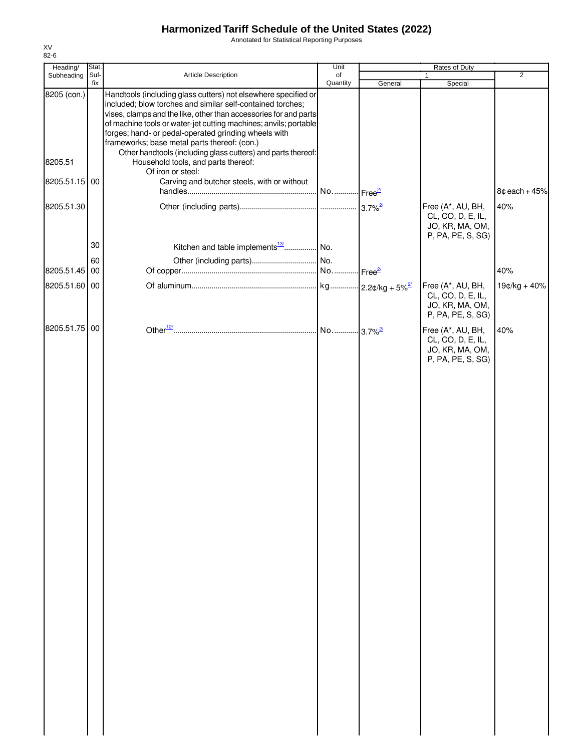Annotated for Statistical Reporting Purposes

| Heading/      | Stat.       |                                                                                                                                                                                                                                                                                                                                                                                                                                              | Unit           | Rates of Duty |                                                                                |                 |
|---------------|-------------|----------------------------------------------------------------------------------------------------------------------------------------------------------------------------------------------------------------------------------------------------------------------------------------------------------------------------------------------------------------------------------------------------------------------------------------------|----------------|---------------|--------------------------------------------------------------------------------|-----------------|
| Subheading    | Suf-<br>fix | Article Description                                                                                                                                                                                                                                                                                                                                                                                                                          | of<br>Quantity | General       | 1<br>Special                                                                   | $\overline{2}$  |
| 8205 (con.)   |             | Handtools (including glass cutters) not elsewhere specified or<br>included; blow torches and similar self-contained torches;<br>vises, clamps and the like, other than accessories for and parts<br>of machine tools or water-jet cutting machines; anvils; portable<br>forges; hand- or pedal-operated grinding wheels with<br>frameworks; base metal parts thereof: (con.)<br>Other handtools (including glass cutters) and parts thereof: |                |               |                                                                                |                 |
| 8205.51       |             | Household tools, and parts thereof:<br>Of iron or steel:                                                                                                                                                                                                                                                                                                                                                                                     |                |               |                                                                                |                 |
| 8205.51.15 00 |             | Carving and butcher steels, with or without                                                                                                                                                                                                                                                                                                                                                                                                  |                |               |                                                                                | $8¢$ each + 45% |
| 8205.51.30    |             |                                                                                                                                                                                                                                                                                                                                                                                                                                              |                |               | Free (A*, AU, BH,<br>CL, CO, D, E, IL,<br>JO, KR, MA, OM,<br>P, PA, PE, S, SG) | 40%             |
|               | 30          | Kitchen and table implements <sup>13/</sup> No.                                                                                                                                                                                                                                                                                                                                                                                              |                |               |                                                                                |                 |
| 8205.51.45 00 | 60          |                                                                                                                                                                                                                                                                                                                                                                                                                                              |                |               |                                                                                | 40%             |
| 8205.51.60 00 |             |                                                                                                                                                                                                                                                                                                                                                                                                                                              |                |               | Free (A*, AU, BH,<br>CL, CO, D, E, IL,<br>JO, KR, MA, OM,<br>P, PA, PE, S, SG) | $19¢/kg + 40%$  |
| 8205.51.75 00 |             |                                                                                                                                                                                                                                                                                                                                                                                                                                              |                |               | Free (A*, AU, BH,<br>CL, CO, D, E, IL,<br>JO, KR, MA, OM,<br>P, PA, PE, S, SG) | 40%             |
|               |             |                                                                                                                                                                                                                                                                                                                                                                                                                                              |                |               |                                                                                |                 |
|               |             |                                                                                                                                                                                                                                                                                                                                                                                                                                              |                |               |                                                                                |                 |
|               |             |                                                                                                                                                                                                                                                                                                                                                                                                                                              |                |               |                                                                                |                 |
|               |             |                                                                                                                                                                                                                                                                                                                                                                                                                                              |                |               |                                                                                |                 |
|               |             |                                                                                                                                                                                                                                                                                                                                                                                                                                              |                |               |                                                                                |                 |
|               |             |                                                                                                                                                                                                                                                                                                                                                                                                                                              |                |               |                                                                                |                 |
|               |             |                                                                                                                                                                                                                                                                                                                                                                                                                                              |                |               |                                                                                |                 |
|               |             |                                                                                                                                                                                                                                                                                                                                                                                                                                              |                |               |                                                                                |                 |
|               |             |                                                                                                                                                                                                                                                                                                                                                                                                                                              |                |               |                                                                                |                 |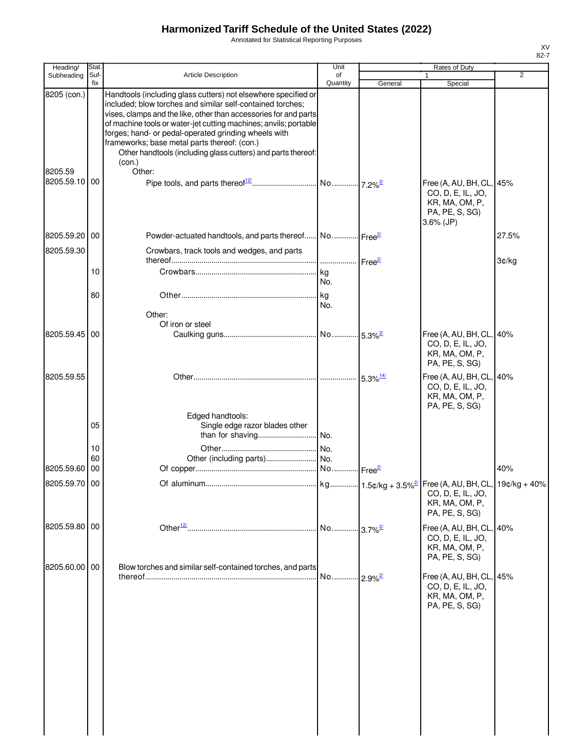Annotated for Statistical Reporting Purposes

| Stat.      |                                                                                                                                                                              | Unit                                                                  |                                                                                                                                                                                                                                                                                                                                                                         | Rates of Duty                                                                                                                                                                                                      |                |
|------------|------------------------------------------------------------------------------------------------------------------------------------------------------------------------------|-----------------------------------------------------------------------|-------------------------------------------------------------------------------------------------------------------------------------------------------------------------------------------------------------------------------------------------------------------------------------------------------------------------------------------------------------------------|--------------------------------------------------------------------------------------------------------------------------------------------------------------------------------------------------------------------|----------------|
| Suf-       |                                                                                                                                                                              | of                                                                    |                                                                                                                                                                                                                                                                                                                                                                         |                                                                                                                                                                                                                    | $\overline{2}$ |
|            | included; blow torches and similar self-contained torches;<br>forges; hand- or pedal-operated grinding wheels with<br>frameworks; base metal parts thereof: (con.)<br>(con.) |                                                                       |                                                                                                                                                                                                                                                                                                                                                                         |                                                                                                                                                                                                                    |                |
|            |                                                                                                                                                                              |                                                                       |                                                                                                                                                                                                                                                                                                                                                                         | Free (A, AU, BH, CL, 45%<br>CO, D, E, IL, JO,<br>KR, MA, OM, P,<br>PA, PE, S, SG)<br>$3.6\%$ (JP)                                                                                                                  |                |
| 00         |                                                                                                                                                                              |                                                                       |                                                                                                                                                                                                                                                                                                                                                                         |                                                                                                                                                                                                                    | 27.5%          |
|            | Crowbars, track tools and wedges, and parts                                                                                                                                  |                                                                       |                                                                                                                                                                                                                                                                                                                                                                         |                                                                                                                                                                                                                    | 3¢/kg          |
| 10         |                                                                                                                                                                              | No.                                                                   |                                                                                                                                                                                                                                                                                                                                                                         |                                                                                                                                                                                                                    |                |
| 80         | Other:                                                                                                                                                                       | kg<br>No.                                                             |                                                                                                                                                                                                                                                                                                                                                                         |                                                                                                                                                                                                                    |                |
| 00         |                                                                                                                                                                              |                                                                       |                                                                                                                                                                                                                                                                                                                                                                         | Free (A, AU, BH, CL, 40%<br>CO, D, E, IL, JO,<br>KR, MA, OM, P,<br>PA, PE, S, SG)                                                                                                                                  |                |
|            |                                                                                                                                                                              |                                                                       |                                                                                                                                                                                                                                                                                                                                                                         | Free (A, AU, BH, CL, 40%<br>CO, D, E, IL, JO,<br>KR, MA, OM, P,<br>PA, PE, S, SG)                                                                                                                                  |                |
| 05         | Single edge razor blades other<br>than for shaving                                                                                                                           |                                                                       |                                                                                                                                                                                                                                                                                                                                                                         |                                                                                                                                                                                                                    |                |
|            |                                                                                                                                                                              |                                                                       |                                                                                                                                                                                                                                                                                                                                                                         |                                                                                                                                                                                                                    |                |
|            |                                                                                                                                                                              |                                                                       |                                                                                                                                                                                                                                                                                                                                                                         |                                                                                                                                                                                                                    | 40%            |
|            |                                                                                                                                                                              |                                                                       |                                                                                                                                                                                                                                                                                                                                                                         | CO, D, E, IL, JO,<br>KR, MA, OM, P,<br>PA, PE, S, SG)                                                                                                                                                              |                |
|            |                                                                                                                                                                              |                                                                       |                                                                                                                                                                                                                                                                                                                                                                         | Free (A, AU, BH, CL, 40%<br>CO, D, E, IL, JO,<br>KR, MA, OM, P,<br>PA, PE, S, SG)                                                                                                                                  |                |
|            |                                                                                                                                                                              | No                                                                    |                                                                                                                                                                                                                                                                                                                                                                         | Free (A, AU, BH, CL, 45%<br>CO, D, E, IL, JO,<br>KR, MA, OM, P,<br>PA, PE, S, SG)                                                                                                                                  |                |
| 8205.59.55 | fix<br>8205 (con.)<br>8205.59.10 00<br>8205.59.20<br>8205.59.30<br>8205.59.45<br>10<br>60<br>8205.59.60 00<br>8205.59.70 00<br>8205.59.80 00<br>8205.60.00 00                | Article Description<br>Other:<br>Of iron or steel<br>Edged handtools: | Quantity<br>Handtools (including glass cutters) not elsewhere specified or<br>vises, clamps and the like, other than accessories for and parts<br>of machine tools or water-jet cutting machines; anvils; portable<br>Other handtools (including glass cutters) and parts thereof:<br>l ka<br>. No.<br>No<br>Blow torches and similar self-contained torches, and parts | General<br>Powder-actuated handtools, and parts thereof No Free <sup>2</sup><br>     Free <sup>2/</sup><br>$5.3\%$ <sup>14/</sup><br>No Free <sup>2/</sup><br>$.3.7\%$ <sup>2/</sup><br>$\cdot$ 2.9% $\frac{2}{3}$ | Special        |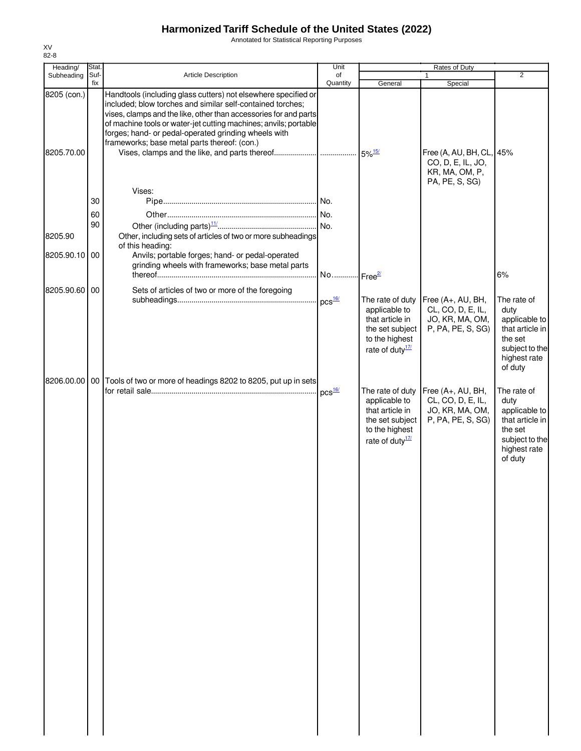Annotated for Statistical Reporting Purposes

|            |                                                                                                                                                                                                                                      | Unit                                    |                                                                                                                                                                                                                                                                                                           | Rates of Duty                                             |                                                                                                                          |
|------------|--------------------------------------------------------------------------------------------------------------------------------------------------------------------------------------------------------------------------------------|-----------------------------------------|-----------------------------------------------------------------------------------------------------------------------------------------------------------------------------------------------------------------------------------------------------------------------------------------------------------|-----------------------------------------------------------|--------------------------------------------------------------------------------------------------------------------------|
|            |                                                                                                                                                                                                                                      |                                         |                                                                                                                                                                                                                                                                                                           |                                                           | $\overline{2}$                                                                                                           |
|            | Handtools (including glass cutters) not elsewhere specified or<br>included; blow torches and similar self-contained torches;<br>forges; hand- or pedal-operated grinding wheels with<br>frameworks; base metal parts thereof: (con.) |                                         |                                                                                                                                                                                                                                                                                                           | CO, D, E, IL, JO,<br>KR, MA, OM, P,<br>PA, PE, S, SG)     |                                                                                                                          |
|            | Vises:                                                                                                                                                                                                                               |                                         |                                                                                                                                                                                                                                                                                                           |                                                           |                                                                                                                          |
|            |                                                                                                                                                                                                                                      |                                         |                                                                                                                                                                                                                                                                                                           |                                                           |                                                                                                                          |
| 60         |                                                                                                                                                                                                                                      |                                         |                                                                                                                                                                                                                                                                                                           |                                                           |                                                                                                                          |
|            |                                                                                                                                                                                                                                      |                                         |                                                                                                                                                                                                                                                                                                           |                                                           |                                                                                                                          |
|            |                                                                                                                                                                                                                                      |                                         |                                                                                                                                                                                                                                                                                                           |                                                           |                                                                                                                          |
| 00         | Anvils; portable forges; hand- or pedal-operated                                                                                                                                                                                     |                                         |                                                                                                                                                                                                                                                                                                           |                                                           |                                                                                                                          |
|            | grinding wheels with frameworks; base metal parts                                                                                                                                                                                    |                                         |                                                                                                                                                                                                                                                                                                           |                                                           |                                                                                                                          |
|            |                                                                                                                                                                                                                                      |                                         |                                                                                                                                                                                                                                                                                                           |                                                           | 6%                                                                                                                       |
|            | Sets of articles of two or more of the foregoing                                                                                                                                                                                     |                                         |                                                                                                                                                                                                                                                                                                           |                                                           |                                                                                                                          |
|            |                                                                                                                                                                                                                                      |                                         | The rate of duty<br>applicable to<br>that article in<br>to the highest<br>rate of duty $\frac{17}{2}$                                                                                                                                                                                                     | CL, CO, D, E, IL,<br>JO, KR, MA, OM,<br>P, PA, PE, S, SG) | The rate of<br>duty<br>applicable to<br>that article in<br>the set<br>subject to the<br>highest rate<br>of duty          |
|            |                                                                                                                                                                                                                                      |                                         |                                                                                                                                                                                                                                                                                                           |                                                           |                                                                                                                          |
|            |                                                                                                                                                                                                                                      |                                         | applicable to<br>that article in<br>to the highest<br>rate of duty $\frac{17}{2}$                                                                                                                                                                                                                         | CL, CO, D, E, IL,<br>JO, KR, MA, OM,<br>P, PA, PE, S, SG) | The rate of<br>duty<br>applicable to<br>that article in<br>the set<br>subject to the<br>highest rate<br>of duty          |
| 8205.70.00 | Stat.<br>Suf-<br>fix<br>8205 (con.)<br>30<br>90<br>8205.90.10<br>8205.90.60 00<br>8206.00.00                                                                                                                                         | Article Description<br>of this heading: | of<br>Quantity<br>vises, clamps and the like, other than accessories for and parts<br>of machine tools or water-jet cutting machines; anvils; portable<br>Other, including sets of articles of two or more subheadings<br>$DCS$ $16/$<br>00 Tools of two or more of headings 8202 to 8205, put up in sets | General<br>No Free <sup>2/</sup><br>The rate of duty      | 1<br>Special<br>Free (A, AU, BH, CL, 45%<br>Free (A+, AU, BH,<br>the set subject<br>Free (A+, AU, BH,<br>the set subject |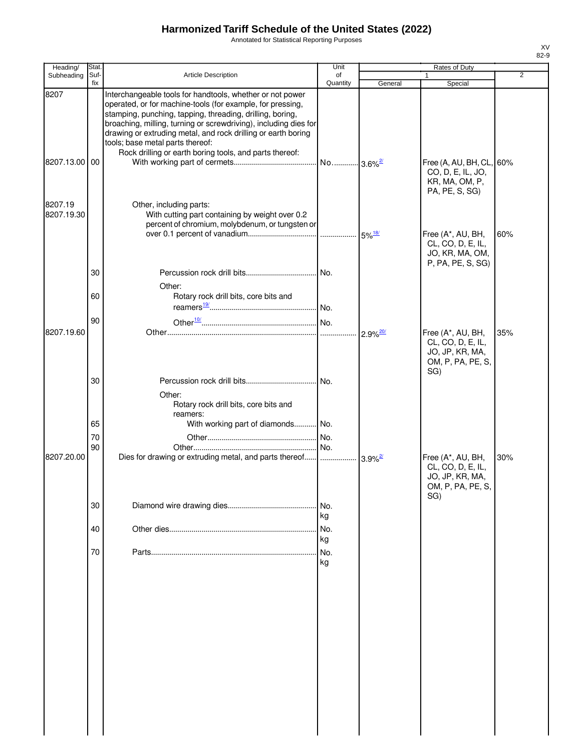Annotated for Statistical Reporting Purposes

| Heading/              | Stat.       |                                                                                                                                                                                                                                                                                                                                                                                                                          | Unit           |                        | Rates of Duty                                                                         |                |
|-----------------------|-------------|--------------------------------------------------------------------------------------------------------------------------------------------------------------------------------------------------------------------------------------------------------------------------------------------------------------------------------------------------------------------------------------------------------------------------|----------------|------------------------|---------------------------------------------------------------------------------------|----------------|
| Subheading            | Suf-<br>fix | Article Description                                                                                                                                                                                                                                                                                                                                                                                                      | of<br>Quantity | General                | Special                                                                               | $\overline{2}$ |
| 8207                  |             | Interchangeable tools for handtools, whether or not power<br>operated, or for machine-tools (for example, for pressing,<br>stamping, punching, tapping, threading, drilling, boring,<br>broaching, milling, turning or screwdriving), including dies for<br>drawing or extruding metal, and rock drilling or earth boring<br>tools; base metal parts thereof:<br>Rock drilling or earth boring tools, and parts thereof: |                |                        |                                                                                       |                |
| 8207.13.00 00         |             |                                                                                                                                                                                                                                                                                                                                                                                                                          |                |                        | Free (A, AU, BH, CL, 60%<br>CO, D, E, IL, JO,<br>KR, MA, OM, P,<br>PA, PE, S, SG)     |                |
| 8207.19<br>8207.19.30 |             | Other, including parts:<br>With cutting part containing by weight over 0.2<br>percent of chromium, molybdenum, or tungsten or                                                                                                                                                                                                                                                                                            |                |                        | Free (A*, AU, BH,<br>CL, CO, D, E, IL,<br>JO, KR, MA, OM,                             | 60%            |
|                       | 30          | Other:                                                                                                                                                                                                                                                                                                                                                                                                                   |                |                        | P, PA, PE, S, SG)                                                                     |                |
|                       | 60          | Rotary rock drill bits, core bits and                                                                                                                                                                                                                                                                                                                                                                                    |                |                        |                                                                                       |                |
| 8207.19.60            | 90          |                                                                                                                                                                                                                                                                                                                                                                                                                          | .              | $2.9\%$ <sup>20/</sup> | Free (A*, AU, BH,<br>CL, CO, D, E, IL,<br>JO, JP, KR, MA,<br>OM, P, PA, PE, S,<br>SG) | 35%            |
|                       | 30          | Other:<br>Rotary rock drill bits, core bits and<br>reamers:                                                                                                                                                                                                                                                                                                                                                              |                |                        |                                                                                       |                |
|                       | 65<br>70    | With working part of diamonds No.                                                                                                                                                                                                                                                                                                                                                                                        |                |                        |                                                                                       |                |
| 8207.20.00            | 90          | Dies for drawing or extruding metal, and parts thereof                                                                                                                                                                                                                                                                                                                                                                   |                | $3.9\%$ <sup>2/</sup>  | Free (A*, AU, BH,<br>CL, CO, D, E, IL,<br>JO, JP, KR, MA,<br>OM, P, PA, PE, S,        | 30%            |
|                       | 30          |                                                                                                                                                                                                                                                                                                                                                                                                                          | No.<br>kg      |                        | SG)                                                                                   |                |
|                       | 40          |                                                                                                                                                                                                                                                                                                                                                                                                                          | No.<br>kg      |                        |                                                                                       |                |
|                       | 70          |                                                                                                                                                                                                                                                                                                                                                                                                                          | No.<br>kg      |                        |                                                                                       |                |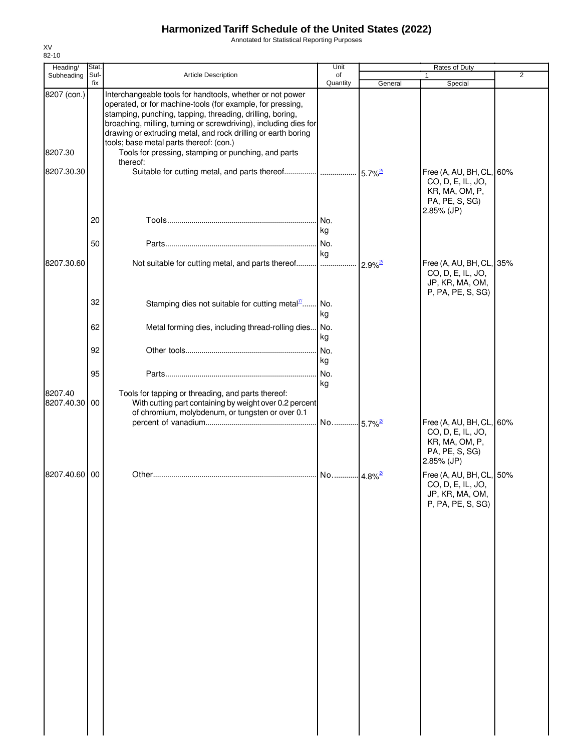Annotated for Statistical Reporting Purposes

| Heading/              | Stat.       |                                                                                                                                                                                                                                                                                                                                                                      | Unit                  |                        | Rates of Duty                                                                                   |                |
|-----------------------|-------------|----------------------------------------------------------------------------------------------------------------------------------------------------------------------------------------------------------------------------------------------------------------------------------------------------------------------------------------------------------------------|-----------------------|------------------------|-------------------------------------------------------------------------------------------------|----------------|
| Subheading            | Suf-<br>fix | Article Description                                                                                                                                                                                                                                                                                                                                                  | of<br>Quantity        | General                | 1<br>Special                                                                                    | $\overline{2}$ |
| 8207 (con.)           |             | Interchangeable tools for handtools, whether or not power<br>operated, or for machine-tools (for example, for pressing,<br>stamping, punching, tapping, threading, drilling, boring,<br>broaching, milling, turning or screwdriving), including dies for<br>drawing or extruding metal, and rock drilling or earth boring<br>tools; base metal parts thereof: (con.) |                       |                        |                                                                                                 |                |
| 8207.30               |             | Tools for pressing, stamping or punching, and parts<br>thereof:                                                                                                                                                                                                                                                                                                      |                       |                        |                                                                                                 |                |
| 8207.30.30            |             | Suitable for cutting metal, and parts thereof                                                                                                                                                                                                                                                                                                                        |                       | $5.7\%$ <sup>2/</sup>  | Free (A, AU, BH, CL, 60%<br>CO, D, E, IL, JO,<br>KR, MA, OM, P,<br>PA, PE, S, SG)<br>2.85% (JP) |                |
|                       | 20          |                                                                                                                                                                                                                                                                                                                                                                      | No.<br>kg             |                        |                                                                                                 |                |
|                       | 50          |                                                                                                                                                                                                                                                                                                                                                                      | No.<br>kg             |                        |                                                                                                 |                |
| 8207.30.60            |             | Not suitable for cutting metal, and parts thereof                                                                                                                                                                                                                                                                                                                    |                       | $2.9\%$ <sup>2/</sup>  | Free (A, AU, BH, CL, 35%<br>CO, D, E, IL, JO,<br>JP, KR, MA, OM,<br>P, PA, PE, S, SG)           |                |
|                       | 32          | Stamping dies not suitable for cutting metal $\frac{7}{2}$                                                                                                                                                                                                                                                                                                           | No.<br>kg             |                        |                                                                                                 |                |
|                       | 62          | Metal forming dies, including thread-rolling dies No.                                                                                                                                                                                                                                                                                                                | kg                    |                        |                                                                                                 |                |
|                       | 92          |                                                                                                                                                                                                                                                                                                                                                                      | No.<br>kg             |                        |                                                                                                 |                |
|                       | 95          |                                                                                                                                                                                                                                                                                                                                                                      | No.<br>kg             |                        |                                                                                                 |                |
| 8207.40<br>8207.40.30 | 00          | Tools for tapping or threading, and parts thereof:<br>With cutting part containing by weight over 0.2 percent<br>of chromium, molybdenum, or tungsten or over 0.1                                                                                                                                                                                                    |                       |                        |                                                                                                 |                |
|                       |             |                                                                                                                                                                                                                                                                                                                                                                      | No                    | $-5.7\%$ <sup>2/</sup> | Free (A, AU, BH, CL, 60%<br>CO, D, E, IL, JO,<br>KR, MA, OM, P,<br>PA, PE, S, SG)<br>2.85% (JP) |                |
| 8207.40.60 00         |             |                                                                                                                                                                                                                                                                                                                                                                      | No 4.8% <sup>2/</sup> |                        | Free (A, AU, BH, CL, 50%<br>CO, D, E, IL, JO,<br>JP, KR, MA, OM,<br>P, PA, PE, S, SG)           |                |
|                       |             |                                                                                                                                                                                                                                                                                                                                                                      |                       |                        |                                                                                                 |                |
|                       |             |                                                                                                                                                                                                                                                                                                                                                                      |                       |                        |                                                                                                 |                |
|                       |             |                                                                                                                                                                                                                                                                                                                                                                      |                       |                        |                                                                                                 |                |
|                       |             |                                                                                                                                                                                                                                                                                                                                                                      |                       |                        |                                                                                                 |                |
|                       |             |                                                                                                                                                                                                                                                                                                                                                                      |                       |                        |                                                                                                 |                |
|                       |             |                                                                                                                                                                                                                                                                                                                                                                      |                       |                        |                                                                                                 |                |
|                       |             |                                                                                                                                                                                                                                                                                                                                                                      |                       |                        |                                                                                                 |                |
|                       |             |                                                                                                                                                                                                                                                                                                                                                                      |                       |                        |                                                                                                 |                |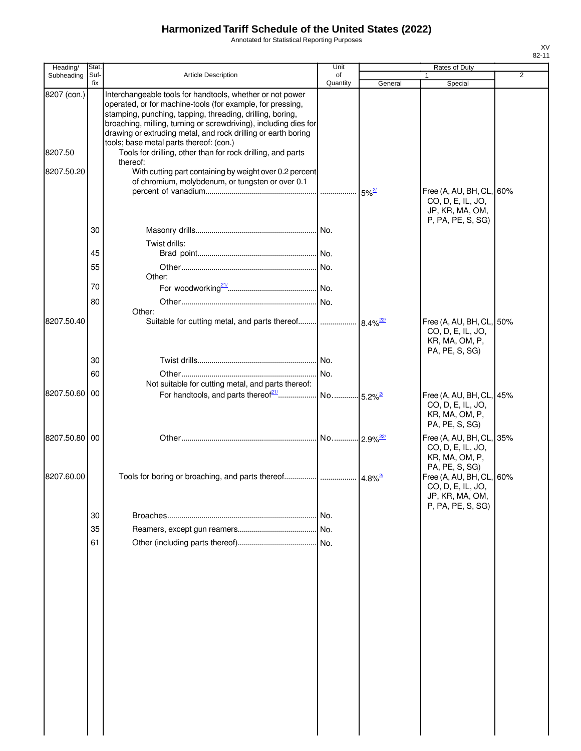Annotated for Statistical Reporting Purposes

| Heading/      | Stat.       |                                                                                                                                                                                                                                                                                                                           | Unit                  |                        | Rates of Duty                                                                         |                |
|---------------|-------------|---------------------------------------------------------------------------------------------------------------------------------------------------------------------------------------------------------------------------------------------------------------------------------------------------------------------------|-----------------------|------------------------|---------------------------------------------------------------------------------------|----------------|
| Subheading    | Suf-<br>fix | Article Description                                                                                                                                                                                                                                                                                                       | of<br>Quantity        | General                | Special                                                                               | $\overline{2}$ |
| 8207 (con.)   |             | Interchangeable tools for handtools, whether or not power<br>operated, or for machine-tools (for example, for pressing,<br>stamping, punching, tapping, threading, drilling, boring,<br>broaching, milling, turning or screwdriving), including dies for<br>drawing or extruding metal, and rock drilling or earth boring |                       |                        |                                                                                       |                |
| 8207.50       |             | tools; base metal parts thereof: (con.)<br>Tools for drilling, other than for rock drilling, and parts<br>thereof:                                                                                                                                                                                                        |                       |                        |                                                                                       |                |
| 8207.50.20    |             | With cutting part containing by weight over 0.2 percent<br>of chromium, molybdenum, or tungsten or over 0.1                                                                                                                                                                                                               |                       | $5\%^{2/3}$            | Free (A, AU, BH, CL, 60%<br>CO, D, E, IL, JO,                                         |                |
|               | 30          |                                                                                                                                                                                                                                                                                                                           |                       |                        | JP, KR, MA, OM,<br>P, PA, PE, S, SG)                                                  |                |
|               |             | Twist drills:                                                                                                                                                                                                                                                                                                             |                       |                        |                                                                                       |                |
|               | 45<br>55    |                                                                                                                                                                                                                                                                                                                           |                       |                        |                                                                                       |                |
|               | 70          | Other:                                                                                                                                                                                                                                                                                                                    |                       |                        |                                                                                       |                |
|               | 80          | Other:                                                                                                                                                                                                                                                                                                                    |                       |                        |                                                                                       |                |
| 8207.50.40    |             | Suitable for cutting metal, and parts thereof                                                                                                                                                                                                                                                                             |                       | $8.4\%$ <sup>22/</sup> | Free (A, AU, BH, CL, 50%<br>CO, D, E, IL, JO,<br>KR, MA, OM, P,<br>PA, PE, S, SG)     |                |
|               | 30          |                                                                                                                                                                                                                                                                                                                           |                       |                        |                                                                                       |                |
|               | 60          | Not suitable for cutting metal, and parts thereof:                                                                                                                                                                                                                                                                        |                       |                        |                                                                                       |                |
| 8207.50.60 00 |             | For handtools, and parts thereof <sup>21</sup>                                                                                                                                                                                                                                                                            | No 5.2% <sup>2/</sup> |                        | Free (A, AU, BH, CL, 45%<br>CO, D, E, IL, JO,<br>KR, MA, OM, P,<br>PA, PE, S, SG)     |                |
| 8207.50.80 00 |             |                                                                                                                                                                                                                                                                                                                           |                       |                        | Free (A, AU, BH, CL, 35%<br>CO, D, E, IL, JO,<br>KR, MA, OM, P,<br>PA, PE, S, SG)     |                |
| 8207.60.00    |             |                                                                                                                                                                                                                                                                                                                           |                       |                        | Free (A, AU, BH, CL, 60%<br>CO, D, E, IL, JO,<br>JP, KR, MA, OM,<br>P, PA, PE, S, SG) |                |
|               | 30          |                                                                                                                                                                                                                                                                                                                           | No.                   |                        |                                                                                       |                |
|               | 35          |                                                                                                                                                                                                                                                                                                                           |                       |                        |                                                                                       |                |
|               | 61          |                                                                                                                                                                                                                                                                                                                           |                       |                        |                                                                                       |                |
|               |             |                                                                                                                                                                                                                                                                                                                           |                       |                        |                                                                                       |                |
|               |             |                                                                                                                                                                                                                                                                                                                           |                       |                        |                                                                                       |                |
|               |             |                                                                                                                                                                                                                                                                                                                           |                       |                        |                                                                                       |                |
|               |             |                                                                                                                                                                                                                                                                                                                           |                       |                        |                                                                                       |                |
|               |             |                                                                                                                                                                                                                                                                                                                           |                       |                        |                                                                                       |                |
|               |             |                                                                                                                                                                                                                                                                                                                           |                       |                        |                                                                                       |                |
|               |             |                                                                                                                                                                                                                                                                                                                           |                       |                        |                                                                                       |                |
|               |             |                                                                                                                                                                                                                                                                                                                           |                       |                        |                                                                                       |                |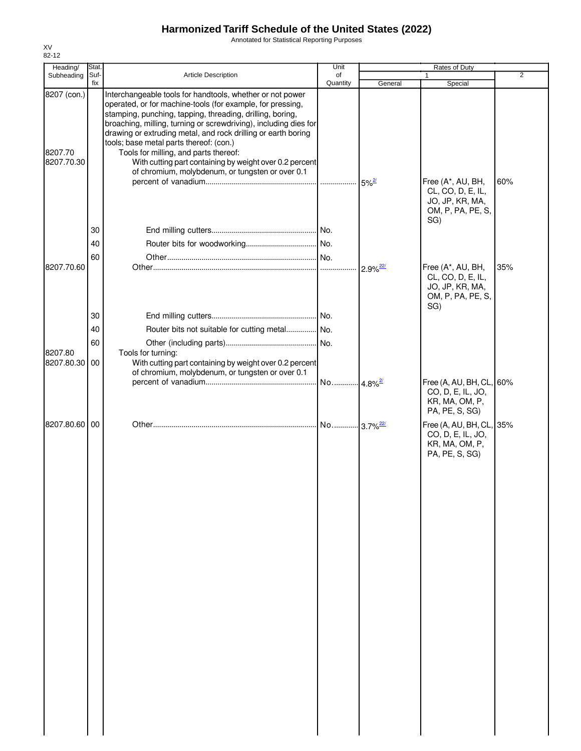Annotated for Statistical Reporting Purposes

| Heading/                             | Stat.       |                                                                                                                                                                                                                                                                                                                                                                                                                                                                                                                              | Unit           |                        | Rates of Duty                                                                         |                |
|--------------------------------------|-------------|------------------------------------------------------------------------------------------------------------------------------------------------------------------------------------------------------------------------------------------------------------------------------------------------------------------------------------------------------------------------------------------------------------------------------------------------------------------------------------------------------------------------------|----------------|------------------------|---------------------------------------------------------------------------------------|----------------|
| Subheading                           | Suf-<br>fix | Article Description                                                                                                                                                                                                                                                                                                                                                                                                                                                                                                          | of<br>Quantity | General                | Special                                                                               | $\overline{2}$ |
| 8207 (con.)<br>8207.70<br>8207.70.30 |             | Interchangeable tools for handtools, whether or not power<br>operated, or for machine-tools (for example, for pressing,<br>stamping, punching, tapping, threading, drilling, boring,<br>broaching, milling, turning or screwdriving), including dies for<br>drawing or extruding metal, and rock drilling or earth boring<br>tools; base metal parts thereof: (con.)<br>Tools for milling, and parts thereof:<br>With cutting part containing by weight over 0.2 percent<br>of chromium, molybdenum, or tungsten or over 0.1 |                |                        |                                                                                       |                |
|                                      | 30          |                                                                                                                                                                                                                                                                                                                                                                                                                                                                                                                              |                | $5\%^{2/3}$            | Free (A*, AU, BH,<br>CL, CO, D, E, IL,<br>JO, JP, KR, MA,<br>OM, P, PA, PE, S,<br>SG) | 60%            |
|                                      | 40          |                                                                                                                                                                                                                                                                                                                                                                                                                                                                                                                              |                |                        |                                                                                       |                |
|                                      | 60          |                                                                                                                                                                                                                                                                                                                                                                                                                                                                                                                              |                |                        |                                                                                       |                |
| 8207.70.60                           |             |                                                                                                                                                                                                                                                                                                                                                                                                                                                                                                                              |                | $2.9\%$ <sup>22/</sup> | Free (A*, AU, BH,<br>CL, CO, D, E, IL,<br>JO, JP, KR, MA,<br>OM, P, PA, PE, S,<br>SG) | 35%            |
|                                      | 30          |                                                                                                                                                                                                                                                                                                                                                                                                                                                                                                                              |                |                        |                                                                                       |                |
|                                      | 40          | Router bits not suitable for cutting metal No.                                                                                                                                                                                                                                                                                                                                                                                                                                                                               |                |                        |                                                                                       |                |
|                                      | 60          |                                                                                                                                                                                                                                                                                                                                                                                                                                                                                                                              |                |                        |                                                                                       |                |
| 8207.80<br>8207.80.30                | 00          | Tools for turning:<br>With cutting part containing by weight over 0.2 percent<br>of chromium, molybdenum, or tungsten or over 0.1                                                                                                                                                                                                                                                                                                                                                                                            |                |                        |                                                                                       |                |
|                                      |             |                                                                                                                                                                                                                                                                                                                                                                                                                                                                                                                              |                |                        | Free (A, AU, BH, CL, 60%<br>CO, D, E, IL, JO,<br>KR, MA, OM, P,<br>PA, PE, S, SG)     |                |
| 8207.80.60 00                        |             |                                                                                                                                                                                                                                                                                                                                                                                                                                                                                                                              |                |                        | Free (A, AU, BH, CL, 35%<br>CO, D, E, IL, JO,<br>KR, MA, OM, P,<br>PA, PE, S, SG)     |                |
|                                      |             |                                                                                                                                                                                                                                                                                                                                                                                                                                                                                                                              |                |                        |                                                                                       |                |
|                                      |             |                                                                                                                                                                                                                                                                                                                                                                                                                                                                                                                              |                |                        |                                                                                       |                |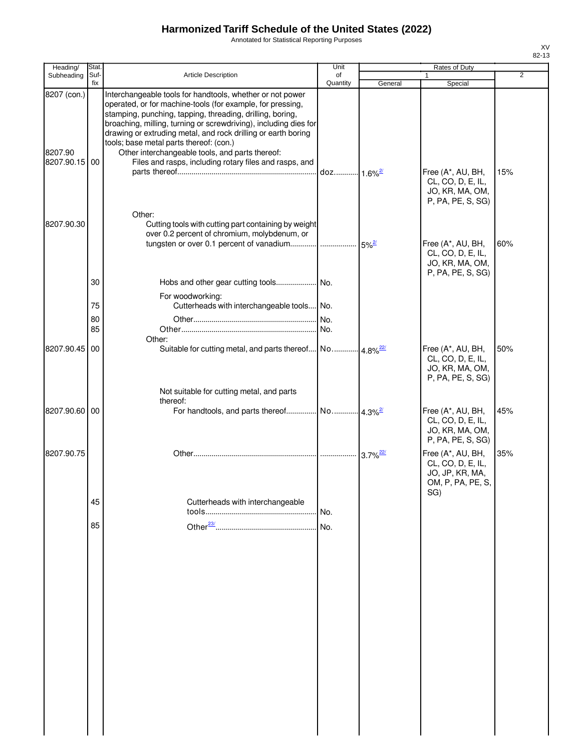Annotated for Statistical Reporting Purposes

|                                         | <b>Stat</b> |                                                                                                                                                                                                                                                                                                                                                                                                                                                                                   | Unit     |                        | Rates of Duty                                                                        |                |
|-----------------------------------------|-------------|-----------------------------------------------------------------------------------------------------------------------------------------------------------------------------------------------------------------------------------------------------------------------------------------------------------------------------------------------------------------------------------------------------------------------------------------------------------------------------------|----------|------------------------|--------------------------------------------------------------------------------------|----------------|
| Heading/<br>Subheading                  | Suf-        | Article Description                                                                                                                                                                                                                                                                                                                                                                                                                                                               | of       |                        |                                                                                      | $\overline{2}$ |
|                                         | fix         |                                                                                                                                                                                                                                                                                                                                                                                                                                                                                   | Quantity | General                | Special                                                                              |                |
| 8207 (con.)<br>8207.90<br>8207.90.15 00 |             | Interchangeable tools for handtools, whether or not power<br>operated, or for machine-tools (for example, for pressing,<br>stamping, punching, tapping, threading, drilling, boring,<br>broaching, milling, turning or screwdriving), including dies for<br>drawing or extruding metal, and rock drilling or earth boring<br>tools; base metal parts thereof: (con.)<br>Other interchangeable tools, and parts thereof:<br>Files and rasps, including rotary files and rasps, and |          |                        |                                                                                      |                |
|                                         |             | Other:                                                                                                                                                                                                                                                                                                                                                                                                                                                                            |          |                        | Free (A*, AU, BH,<br>CL, CO, D, E, IL,<br>JO, KR, MA, OM,<br>P, PA, PE, S, SG)       | 15%            |
| 8207.90.30                              |             | Cutting tools with cutting part containing by weight<br>over 0.2 percent of chromium, molybdenum, or                                                                                                                                                                                                                                                                                                                                                                              |          |                        | Free (A*, AU, BH,<br>CL, CO, D, E, IL,<br>JO, KR, MA, OM,<br>P, PA, PE, S, SG)       | 60%            |
|                                         | 30<br>75    | For woodworking:<br>Cutterheads with interchangeable tools No.                                                                                                                                                                                                                                                                                                                                                                                                                    |          |                        |                                                                                      |                |
|                                         | 80<br>85    | Other:                                                                                                                                                                                                                                                                                                                                                                                                                                                                            | No.      |                        |                                                                                      |                |
| 8207.90.45 00                           |             | Suitable for cutting metal, and parts thereof No 4.8% <sup>22/</sup><br>Not suitable for cutting metal, and parts                                                                                                                                                                                                                                                                                                                                                                 |          |                        | Free (A*, AU, BH,<br>CL, CO, D, E, IL,<br>JO, KR, MA, OM,<br>P, PA, PE, S, SG)       | 50%            |
| 8207.90.60 00                           |             | thereof:                                                                                                                                                                                                                                                                                                                                                                                                                                                                          |          |                        | Free (A*, AU, BH,<br>CL, CO, D, E, IL,<br>JO, KR, MA, OM,<br>P, PA, PE, S, SG)       | 45%            |
| 8207.90.75                              |             |                                                                                                                                                                                                                                                                                                                                                                                                                                                                                   |          | $3.7\%$ <sup>22/</sup> | Free (A*, AU, BH,<br>CL, CO, D, E, IL,<br>JO, JP, KR, MA,<br>OM, P, PA, PE, S<br>SG) | 35%            |
|                                         | 45          | Cutterheads with interchangeable                                                                                                                                                                                                                                                                                                                                                                                                                                                  | No.      |                        |                                                                                      |                |
|                                         | 85          |                                                                                                                                                                                                                                                                                                                                                                                                                                                                                   | No.      |                        |                                                                                      |                |
|                                         |             |                                                                                                                                                                                                                                                                                                                                                                                                                                                                                   |          |                        |                                                                                      |                |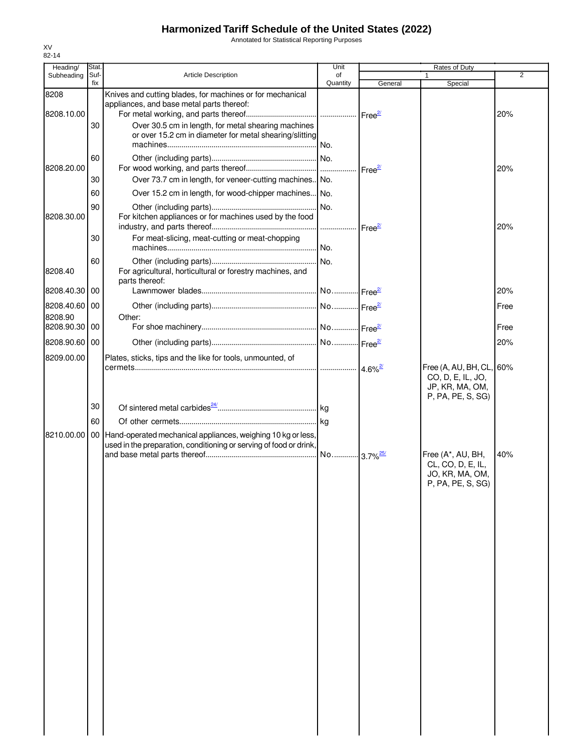Annotated for Statistical Reporting Purposes

| Heading/                 | <b>Stat</b> |                                                                                                                                       | Unit           |                       | Rates of Duty                                                                         |                |
|--------------------------|-------------|---------------------------------------------------------------------------------------------------------------------------------------|----------------|-----------------------|---------------------------------------------------------------------------------------|----------------|
| Subheading               | Suf-<br>fix | <b>Article Description</b>                                                                                                            | of<br>Quantity |                       |                                                                                       | $\overline{2}$ |
| 8208                     |             | Knives and cutting blades, for machines or for mechanical<br>appliances, and base metal parts thereof:                                |                | General               | Special                                                                               |                |
| 8208.10.00               | 30          | Over 30.5 cm in length, for metal shearing machines<br>or over 15.2 cm in diameter for metal shearing/slitting                        |                |                       |                                                                                       | 20%            |
| 8208.20.00               | 60          |                                                                                                                                       |                |                       |                                                                                       | 20%            |
|                          | 30<br>60    | Over 73.7 cm in length, for veneer-cutting machines. No.<br>Over 15.2 cm in length, for wood-chipper machines No.                     |                |                       |                                                                                       |                |
| 8208.30.00               | 90          | For kitchen appliances or for machines used by the food                                                                               |                |                       |                                                                                       | 20%            |
|                          | 30          | For meat-slicing, meat-cutting or meat-chopping                                                                                       |                |                       |                                                                                       |                |
| 8208.40                  | 60          | For agricultural, horticultural or forestry machines, and<br>parts thereof:                                                           |                |                       |                                                                                       |                |
| 8208.40.30               | 00          |                                                                                                                                       |                |                       |                                                                                       | 20%            |
| 8208.40.60 00<br>8208.90 |             | Other:                                                                                                                                |                |                       |                                                                                       | Free           |
| 8208.90.30               | 00          |                                                                                                                                       |                |                       |                                                                                       | Free           |
| 8208.90.60 00            |             |                                                                                                                                       |                |                       |                                                                                       | 20%            |
| 8209.00.00               |             | Plates, sticks, tips and the like for tools, unmounted, of                                                                            |                | $4.6\%$ <sup>2/</sup> | Free (A, AU, BH, CL, 60%<br>CO, D, E, IL, JO,<br>JP, KR, MA, OM,<br>P, PA, PE, S, SG) |                |
|                          | 30          |                                                                                                                                       |                |                       |                                                                                       |                |
|                          | 60          |                                                                                                                                       |                |                       |                                                                                       |                |
| 8210.00.00               |             | 00 Hand-operated mechanical appliances, weighing 10 kg or less,<br>used in the preparation, conditioning or serving of food or drink, |                |                       | Free (A*, AU, BH,<br>CL, CO, D, E, IL,                                                | 40%            |
|                          |             |                                                                                                                                       |                |                       | JO, KR, MA, OM,<br>P, PA, PE, S, SG)                                                  |                |
|                          |             |                                                                                                                                       |                |                       |                                                                                       |                |
|                          |             |                                                                                                                                       |                |                       |                                                                                       |                |
|                          |             |                                                                                                                                       |                |                       |                                                                                       |                |
|                          |             |                                                                                                                                       |                |                       |                                                                                       |                |
|                          |             |                                                                                                                                       |                |                       |                                                                                       |                |
|                          |             |                                                                                                                                       |                |                       |                                                                                       |                |
|                          |             |                                                                                                                                       |                |                       |                                                                                       |                |
|                          |             |                                                                                                                                       |                |                       |                                                                                       |                |
|                          |             |                                                                                                                                       |                |                       |                                                                                       |                |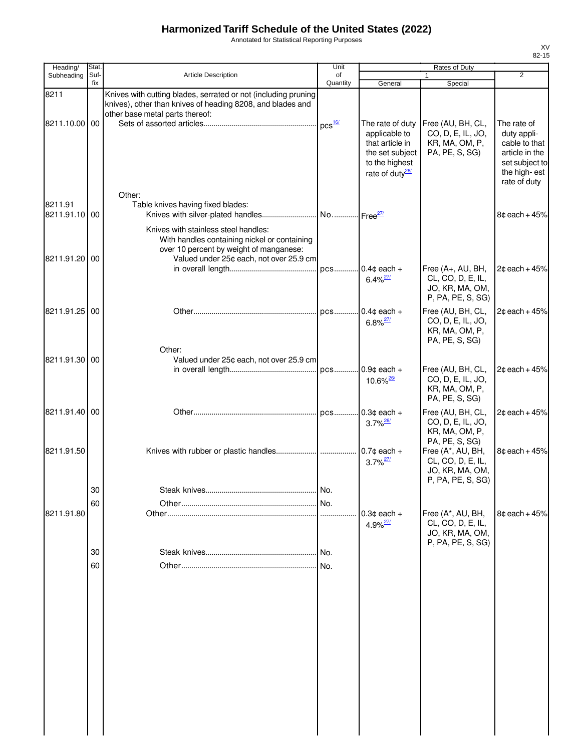Annotated for Statistical Reporting Purposes

| Heading/                 | Stat        |                                                                                                                                                                            | Unit           |                                                                                                                          | <b>Rates of Duty</b>                                                           |                                                                                                                 |
|--------------------------|-------------|----------------------------------------------------------------------------------------------------------------------------------------------------------------------------|----------------|--------------------------------------------------------------------------------------------------------------------------|--------------------------------------------------------------------------------|-----------------------------------------------------------------------------------------------------------------|
| Subheading               | Suf-<br>fix | Article Description                                                                                                                                                        | of<br>Quantity | General                                                                                                                  | 1<br>Special                                                                   | $\overline{2}$                                                                                                  |
| 8211                     |             | Knives with cutting blades, serrated or not (including pruning<br>knives), other than knives of heading 8208, and blades and<br>other base metal parts thereof:            |                |                                                                                                                          |                                                                                |                                                                                                                 |
| 8211.10.00 00            |             |                                                                                                                                                                            | $DCS$ $16/$    | The rate of duty<br>applicable to<br>that article in<br>the set subject<br>to the highest<br>rate of duty <sup>26/</sup> | Free (AU, BH, CL,<br>CO, D, E, IL, JO,<br>KR, MA, OM, P,<br>PA, PE, S, SG)     | The rate of<br>duty appli-<br>cable to that<br>article in the<br>set subject to<br>the high-est<br>rate of duty |
| 8211.91<br>8211.91.10 00 |             | Other:<br>Table knives having fixed blades:                                                                                                                                |                |                                                                                                                          |                                                                                | $8¢$ each + 45%                                                                                                 |
| 8211.91.20 00            |             | Knives with stainless steel handles:<br>With handles containing nickel or containing<br>over 10 percent by weight of manganese:<br>Valued under 25¢ each, not over 25.9 cm |                |                                                                                                                          |                                                                                |                                                                                                                 |
|                          |             |                                                                                                                                                                            | pcs            | $0.4c$ each +<br>$6.4\%$ <sup>27/</sup>                                                                                  | Free (A+, AU, BH,<br>CL, CO, D, E, IL,<br>JO, KR, MA, OM,<br>P, PA, PE, S, SG) | $2¢$ each + 45%                                                                                                 |
| 8211.91.25 00            |             |                                                                                                                                                                            |                | pcs 0.4¢ each +<br>$6.8\%$ <sup>27/</sup>                                                                                | Free (AU, BH, CL,<br>CO, D, E, IL, JO,<br>KR, MA, OM, P,<br>PA, PE, S, SG)     | $2c$ each + 45%                                                                                                 |
| 8211.91.30               | 00          | Other:<br>Valued under 25¢ each, not over 25.9 cm                                                                                                                          |                | $10.6\%$ <sup>26/</sup>                                                                                                  | Free (AU, BH, CL,<br>CO, D, E, IL, JO,                                         | $2¢$ each + 45%                                                                                                 |
|                          |             |                                                                                                                                                                            |                |                                                                                                                          | KR, MA, OM, P,<br>PA, PE, S, SG)                                               |                                                                                                                 |
| 8211.91.40               | 00          |                                                                                                                                                                            |                | $3.7\%$ <sup>26/</sup>                                                                                                   | Free (AU, BH, CL,<br>CO, D, E, IL, JO,<br>KR, MA, OM, P,<br>PA, PE, S, SG)     | $2¢$ each + 45%                                                                                                 |
| 8211.91.50               |             |                                                                                                                                                                            |                | $3.7\%$ <sup>27/</sup>                                                                                                   | Free (A*, AU, BH,<br>CL, CO, D, E, IL,<br>JO, KR, MA, OM,<br>P, PA, PE, S, SG) | $8¢$ each + 45%                                                                                                 |
|                          | 30          |                                                                                                                                                                            |                |                                                                                                                          |                                                                                |                                                                                                                 |
|                          | 60          |                                                                                                                                                                            |                |                                                                                                                          |                                                                                |                                                                                                                 |
| 8211.91.80               |             |                                                                                                                                                                            | .              | $0.3c$ each $+$<br>$4.9\%$ <sup>27/</sup>                                                                                | Free (A*, AU, BH,<br>CL, CO, D, E, IL,<br>JO, KR, MA, OM,<br>P, PA, PE, S, SG) | $8c$ each + $45%$                                                                                               |
|                          | 30          |                                                                                                                                                                            | No.            |                                                                                                                          |                                                                                |                                                                                                                 |
|                          | 60          |                                                                                                                                                                            | No.            |                                                                                                                          |                                                                                |                                                                                                                 |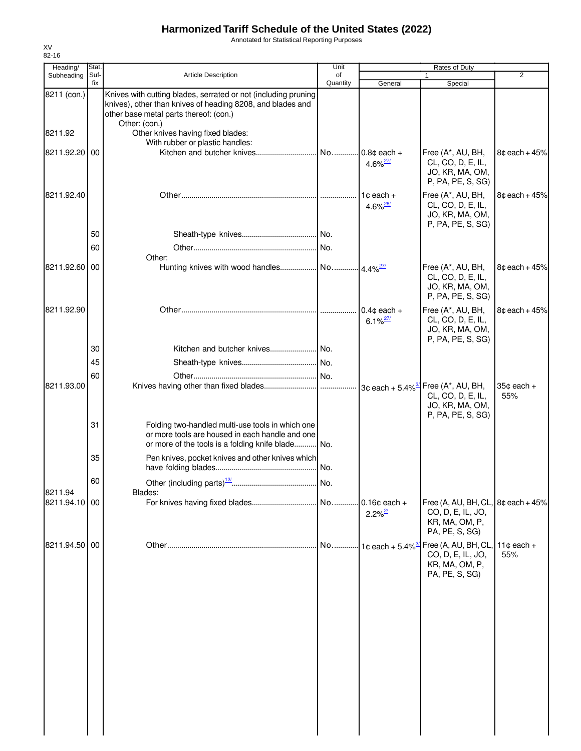Annotated for Statistical Reporting Purposes

| Heading/      | Stat.       |                                                                                                                                                                                         | Unit           | Rates of Duty                           |                                                                                                               |                       |
|---------------|-------------|-----------------------------------------------------------------------------------------------------------------------------------------------------------------------------------------|----------------|-----------------------------------------|---------------------------------------------------------------------------------------------------------------|-----------------------|
| Subheading    | Suf-<br>fix | <b>Article Description</b>                                                                                                                                                              | of<br>Quantity | General                                 | $\mathbf{1}$<br>Special                                                                                       | 2                     |
| 8211 (con.)   |             | Knives with cutting blades, serrated or not (including pruning<br>knives), other than knives of heading 8208, and blades and<br>other base metal parts thereof: (con.)<br>Other: (con.) |                |                                         |                                                                                                               |                       |
| 8211.92       |             | Other knives having fixed blades:<br>With rubber or plastic handles:                                                                                                                    |                |                                         |                                                                                                               |                       |
| 8211.92.20 00 |             |                                                                                                                                                                                         | No             | $0.8c$ each +<br>$4.6\%$ <sup>27/</sup> | Free (A*, AU, BH,<br>CL, CO, D, E, IL,<br>JO, KR, MA, OM,<br>P, PA, PE, S, SG)                                | $8¢$ each + 45%       |
| 8211.92.40    |             |                                                                                                                                                                                         |                | $1¢$ each $+$<br>$4.6\%$ <sup>26/</sup> | Free (A*, AU, BH,<br>CL, CO, D, E, IL,<br>JO, KR, MA, OM,<br>P, PA, PE, S, SG)                                | $8¢$ each + 45%       |
|               | 50          |                                                                                                                                                                                         |                |                                         |                                                                                                               |                       |
|               | 60          | Other:                                                                                                                                                                                  |                |                                         |                                                                                                               |                       |
| 8211.92.60 00 |             |                                                                                                                                                                                         |                |                                         | Free (A*, AU, BH,<br>CL, CO, D, E, IL,<br>JO, KR, MA, OM,<br>P, PA, PE, S, SG)                                | $8¢$ each + 45%       |
| 8211.92.90    |             |                                                                                                                                                                                         |                | $0.4c$ each +<br>$6.1\%$ <sup>27/</sup> | Free (A*, AU, BH,<br>CL, CO, D, E, IL,<br>JO, KR, MA, OM,<br>P, PA, PE, S, SG)                                | $8¢$ each + 45%       |
|               | 30          |                                                                                                                                                                                         |                |                                         |                                                                                                               |                       |
|               | 45          |                                                                                                                                                                                         |                |                                         |                                                                                                               |                       |
| 8211.93.00    | 60          |                                                                                                                                                                                         |                |                                         | $3¢$ each + 5.4% <sup>3'</sup> Free (A*, AU, BH,<br>CL, CO, D, E, IL,<br>JO, KR, MA, OM,<br>P, PA, PE, S, SG) | $35¢$ each $+$<br>55% |
|               | 31          | Folding two-handled multi-use tools in which one<br>or more tools are housed in each handle and one<br>or more of the tools is a folding knife blade No.                                |                |                                         |                                                                                                               |                       |
|               | 35          | Pen knives, pocket knives and other knives which                                                                                                                                        |                |                                         |                                                                                                               |                       |
| 8211.94       | 60          | Blades:                                                                                                                                                                                 |                |                                         |                                                                                                               |                       |
| 8211.94.10 00 |             |                                                                                                                                                                                         |                | $2.2\%$ <sup>2/</sup>                   | Free (A, AU, BH, CL, $8¢$ each + 45%<br>CO, D, E, IL, JO,<br>KR, MA, OM, P,<br>PA, PE, S, SG)                 |                       |
| 8211.94.50 00 |             |                                                                                                                                                                                         | No             | $\cdot$ 1¢ each + 5.4% <sup>3</sup>     | Free (A, AU, BH, CL,<br>CO, D, E, IL, JO,<br>KR, MA, OM, P,<br>PA, PE, S, SG)                                 | 11 $¢$ each +<br>55%  |
|               |             |                                                                                                                                                                                         |                |                                         |                                                                                                               |                       |
|               |             |                                                                                                                                                                                         |                |                                         |                                                                                                               |                       |
|               |             |                                                                                                                                                                                         |                |                                         |                                                                                                               |                       |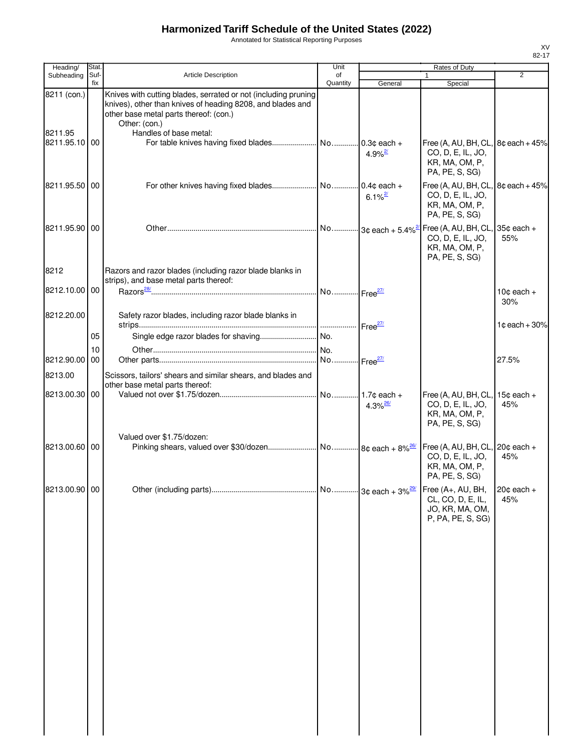Annotated for Statistical Reporting Purposes

| Heading/                                | Stat.       |                                                                                                                                                                                                                   | Unit           |                        | Rates of Duty                                                                                                   |                               |
|-----------------------------------------|-------------|-------------------------------------------------------------------------------------------------------------------------------------------------------------------------------------------------------------------|----------------|------------------------|-----------------------------------------------------------------------------------------------------------------|-------------------------------|
| Subheading                              | Suf-<br>fix | <b>Article Description</b>                                                                                                                                                                                        | of<br>Quantity | General                | $\mathbf{1}$<br>Special                                                                                         | 2                             |
| 8211 (con.)<br>8211.95<br>8211.95.10100 |             | Knives with cutting blades, serrated or not (including pruning<br>knives), other than knives of heading 8208, and blades and<br>other base metal parts thereof: (con.)<br>Other: (con.)<br>Handles of base metal: |                | $4.9\%$ <sup>2/</sup>  | Free (A, AU, BH, CL, $8¢$ each + 45%<br>CO, D, E, IL, JO,                                                       |                               |
| 8211.95.50 00                           |             |                                                                                                                                                                                                                   |                | $6.1\%$ <sup>2/</sup>  | KR, MA, OM, P,<br>PA, PE, S, SG)<br>Free (A, AU, BH, CL, $8¢$ each + 45%<br>CO, D, E, IL, JO,<br>KR, MA, OM, P, |                               |
| 8211.95.90 00                           |             |                                                                                                                                                                                                                   |                |                        | PA, PE, S, SG)<br>Free (A, AU, BH, CL, $35¢$ each +<br>CO, D, E, IL, JO,<br>KR, MA, OM, P,<br>PA, PE, S, SG)    | 55%                           |
| 8212                                    |             | Razors and razor blades (including razor blade blanks in<br>strips), and base metal parts thereof:                                                                                                                |                |                        |                                                                                                                 |                               |
| 8212.10.00 00                           |             |                                                                                                                                                                                                                   |                |                        |                                                                                                                 | 10 $\texttt{c}$ each +<br>30% |
| 8212.20.00                              | 05          | Safety razor blades, including razor blade blanks in                                                                                                                                                              |                |                        |                                                                                                                 | $1¢$ each + 30%               |
|                                         | 10          |                                                                                                                                                                                                                   |                |                        |                                                                                                                 |                               |
| 8212.90.00                              | 00          |                                                                                                                                                                                                                   |                |                        |                                                                                                                 | 27.5%                         |
| 8213.00                                 |             | Scissors, tailors' shears and similar shears, and blades and                                                                                                                                                      |                |                        |                                                                                                                 |                               |
| 8213.00.30 00                           |             | other base metal parts thereof:                                                                                                                                                                                   |                | $4.3\%$ <sup>26/</sup> | Free (A, AU, BH, CL,<br>CO, D, E, IL, JO,<br>KR, MA, OM, P,<br>PA, PE, S, SG)                                   | $15¢$ each +<br>45%           |
| 8213.00.60 00                           |             | Valued over \$1.75/dozen:                                                                                                                                                                                         |                |                        | Free (A, AU, BH, CL, 20¢ each +<br>CO, D, E, IL, JO,<br>KR, MA, OM, P,<br>PA, PE, S, SG)                        | 45%                           |
| 8213.00.90 00                           |             |                                                                                                                                                                                                                   |                |                        | Free (A+, AU, BH,<br>CL, CO, D, E, IL,<br>JO, KR, MA, OM,<br>P, PA, PE, S, SG)                                  | $20¢$ each +<br>45%           |
|                                         |             |                                                                                                                                                                                                                   |                |                        |                                                                                                                 |                               |
|                                         |             |                                                                                                                                                                                                                   |                |                        |                                                                                                                 |                               |
|                                         |             |                                                                                                                                                                                                                   |                |                        |                                                                                                                 |                               |
|                                         |             |                                                                                                                                                                                                                   |                |                        |                                                                                                                 |                               |
|                                         |             |                                                                                                                                                                                                                   |                |                        |                                                                                                                 |                               |
|                                         |             |                                                                                                                                                                                                                   |                |                        |                                                                                                                 |                               |
|                                         |             |                                                                                                                                                                                                                   |                |                        |                                                                                                                 |                               |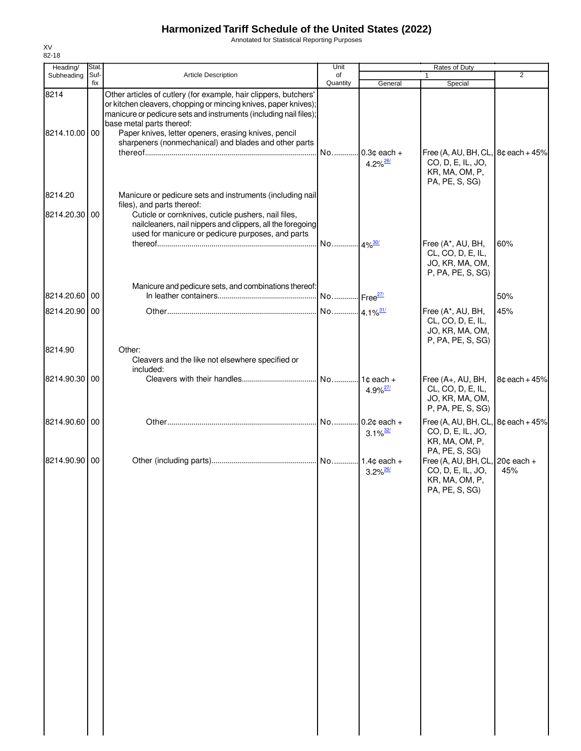Annotated for Statistical Reporting Purposes

| Heading/              | Stat.       |                                                                                                                                                                                                                                                                                                                                                        | Unit                   |                                          | Rates of Duty                                                                                                |                 |
|-----------------------|-------------|--------------------------------------------------------------------------------------------------------------------------------------------------------------------------------------------------------------------------------------------------------------------------------------------------------------------------------------------------------|------------------------|------------------------------------------|--------------------------------------------------------------------------------------------------------------|-----------------|
| Subheading            | Suf-<br>fix | <b>Article Description</b>                                                                                                                                                                                                                                                                                                                             | of<br>Quantity         | General                                  | $\mathbf{1}$<br>Special                                                                                      | $\overline{2}$  |
| 8214<br>8214.10.00 00 |             | Other articles of cutlery (for example, hair clippers, butchers'<br>or kitchen cleavers, chopping or mincing knives, paper knives);<br>manicure or pedicure sets and instruments (including nail files);<br>base metal parts thereof:<br>Paper knives, letter openers, erasing knives, pencil<br>sharpeners (nonmechanical) and blades and other parts |                        | No 0.3¢ each +<br>$4.2\%$ <sup>26/</sup> | Free (A, AU, BH, CL, $8¢$ each + 45%<br>CO, D, E, IL, JO,<br>KR, MA, OM, P,                                  |                 |
| 8214.20               |             | Manicure or pedicure sets and instruments (including nail                                                                                                                                                                                                                                                                                              |                        |                                          | PA, PE, S, SG)                                                                                               |                 |
| 8214.20.30 00         |             | files), and parts thereof:<br>Cuticle or cornknives, cuticle pushers, nail files,<br>nailcleaners, nail nippers and clippers, all the foregoing<br>used for manicure or pedicure purposes, and parts                                                                                                                                                   | No 4% <sup>30/</sup>   |                                          | Free (A*, AU, BH,<br>CL, CO, D, E, IL,                                                                       | 60%             |
|                       |             | Manicure and pedicure sets, and combinations thereof:                                                                                                                                                                                                                                                                                                  |                        |                                          | JO, KR, MA, OM,<br>P, PA, PE, S, SG)                                                                         |                 |
| 8214.20.60 00         |             |                                                                                                                                                                                                                                                                                                                                                        | No Free <sup>27/</sup> |                                          |                                                                                                              | 50%             |
| 8214.20.90 00         |             |                                                                                                                                                                                                                                                                                                                                                        | No 4.1% <sup>31/</sup> |                                          | Free (A*, AU, BH,<br>CL, CO, D, E, IL,<br>JO, KR, MA, OM,<br>P, PA, PE, S, SG)                               | 45%             |
| 8214.90               |             | Other:<br>Cleavers and the like not elsewhere specified or<br>included:                                                                                                                                                                                                                                                                                |                        |                                          |                                                                                                              |                 |
| 8214.90.30            | 00          |                                                                                                                                                                                                                                                                                                                                                        | No                     | $1¢$ each $+$<br>$4.9\%$ <sup>27/</sup>  | Free (A+, AU, BH,<br>CL, CO, D, E, IL,<br>JO, KR, MA, OM,<br>P, PA, PE, S, SG)                               | $8¢$ each + 45% |
| 8214.90.60 00         |             |                                                                                                                                                                                                                                                                                                                                                        | No                     | $0.2¢$ each +<br>$3.1\%$ <sup>32/</sup>  | Free (A, AU, BH, CL,<br>CO, D, E, IL, JO,<br>KR, MA, OM, P,                                                  | $8¢$ each + 45% |
| 8214.90.90 00         |             |                                                                                                                                                                                                                                                                                                                                                        |                        | $3.2\%$ <sup>26/</sup>                   | PA, PE, S, SG)<br>Free (A, AU, BH, CL, $20¢$ each +<br>CO, D, E, IL, JO,<br>KR, MA, OM, P,<br>PA, PE, S, SG) | 45%             |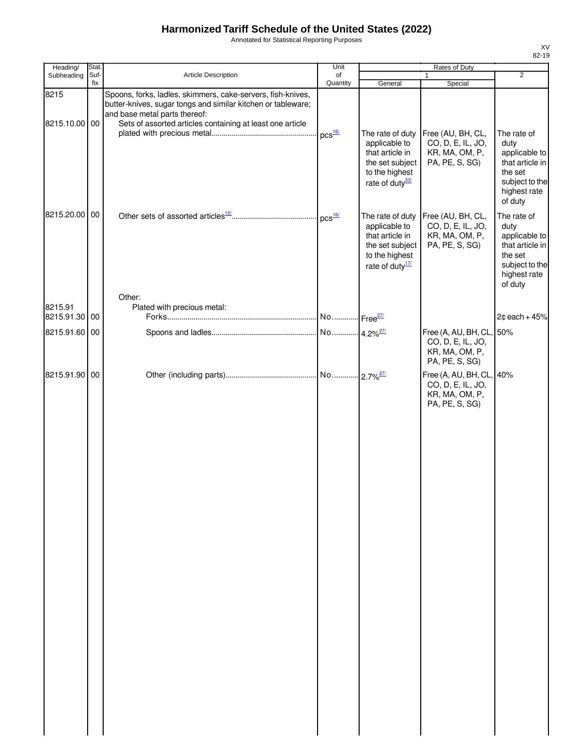Annotated for Statistical Reporting Purposes

| Heading/              | Stat.       |                                                                                                                                                                                                                           | Unit           | Rates of Duty                                                                                                            |                                                                                   |                                                                                                                 |
|-----------------------|-------------|---------------------------------------------------------------------------------------------------------------------------------------------------------------------------------------------------------------------------|----------------|--------------------------------------------------------------------------------------------------------------------------|-----------------------------------------------------------------------------------|-----------------------------------------------------------------------------------------------------------------|
| Subheading            | Suf-<br>fix | Article Description                                                                                                                                                                                                       | of<br>Quantity | General                                                                                                                  | $\mathbf{1}$<br>Special                                                           | $\overline{2}$                                                                                                  |
| 8215<br>8215.10.00 00 |             | Spoons, forks, ladles, skimmers, cake-servers, fish-knives,<br>butter-knives, sugar tongs and similar kitchen or tableware;<br>and base metal parts thereof:<br>Sets of assorted articles containing at least one article |                |                                                                                                                          |                                                                                   |                                                                                                                 |
|                       |             |                                                                                                                                                                                                                           | $DCS$ $16/$    | The rate of duty<br>applicable to<br>that article in<br>the set subject<br>to the highest<br>rate of duty <sup>33/</sup> | Free (AU, BH, CL,<br>CO, D, E, IL, JO,<br>KR, MA, OM, P,<br>PA, PE, S, SG)        | The rate of<br>duty<br>applicable to<br>that article in<br>the set<br>subject to the<br>highest rate<br>of duty |
| 8215.20.00 00         |             |                                                                                                                                                                                                                           | $DCS$ $16/$    | The rate of duty<br>applicable to<br>that article in<br>the set subject<br>to the highest<br>rate of duty <sup>17/</sup> | Free (AU, BH, CL,<br>CO, D, E, IL, JO,<br>KR, MA, OM, P,<br>PA, PE, S, SG)        | The rate of<br>duty<br>applicable to<br>that article in<br>the set<br>subject to the<br>highest rate<br>of duty |
| 8215.91               |             | Other:<br>Plated with precious metal:                                                                                                                                                                                     |                |                                                                                                                          |                                                                                   |                                                                                                                 |
| 8215.91.30            | 00          |                                                                                                                                                                                                                           |                |                                                                                                                          |                                                                                   | $2¢$ each + 45%                                                                                                 |
| 8215.91.60 00         |             |                                                                                                                                                                                                                           |                |                                                                                                                          | Free (A, AU, BH, CL, 50%<br>CO, D, E, IL, JO,<br>KR, MA, OM, P,<br>PA, PE, S, SG) |                                                                                                                 |
| 8215.91.90 00         |             |                                                                                                                                                                                                                           |                | $-2.7\%$ <sup>27/</sup>                                                                                                  | Free (A, AU, BH, CL, 40%<br>CO, D, E, IL, JO,<br>KR, MA, OM, P,<br>PA, PE, S, SG) |                                                                                                                 |
|                       |             |                                                                                                                                                                                                                           |                |                                                                                                                          |                                                                                   |                                                                                                                 |
|                       |             |                                                                                                                                                                                                                           |                |                                                                                                                          |                                                                                   |                                                                                                                 |
|                       |             |                                                                                                                                                                                                                           |                |                                                                                                                          |                                                                                   |                                                                                                                 |
|                       |             |                                                                                                                                                                                                                           |                |                                                                                                                          |                                                                                   |                                                                                                                 |
|                       |             |                                                                                                                                                                                                                           |                |                                                                                                                          |                                                                                   |                                                                                                                 |
|                       |             |                                                                                                                                                                                                                           |                |                                                                                                                          |                                                                                   |                                                                                                                 |
|                       |             |                                                                                                                                                                                                                           |                |                                                                                                                          |                                                                                   |                                                                                                                 |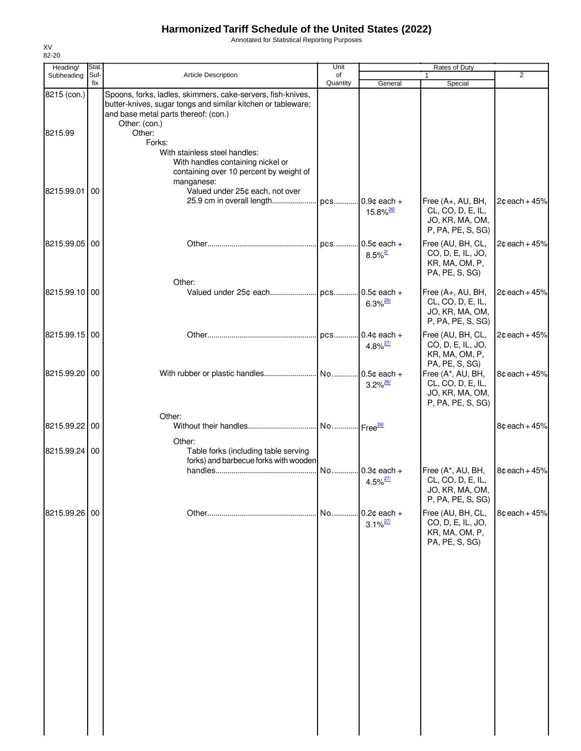Annotated for Statistical Reporting Purposes

| Heading/      | Stat.       |                                                                                                                                                                                      | Unit           |                                          | Rates of Duty                                                                  |                 |
|---------------|-------------|--------------------------------------------------------------------------------------------------------------------------------------------------------------------------------------|----------------|------------------------------------------|--------------------------------------------------------------------------------|-----------------|
| Subheading    | Suf-<br>fix | <b>Article Description</b>                                                                                                                                                           | of<br>Quantity | General                                  | 1<br>Special                                                                   | $\overline{2}$  |
| 8215 (con.)   |             | Spoons, forks, ladles, skimmers, cake-servers, fish-knives,<br>butter-knives, sugar tongs and similar kitchen or tableware;<br>and base metal parts thereof: (con.)<br>Other: (con.) |                |                                          |                                                                                |                 |
| 8215.99       |             | Other:<br>Forks:<br>With stainless steel handles:<br>With handles containing nickel or                                                                                               |                |                                          |                                                                                |                 |
| 8215.99.01    | 00          | containing over 10 percent by weight of<br>manganese:<br>Valued under 25¢ each, not over<br>25.9 cm in overall length                                                                | pcs            | $0.9¢$ each +                            | Free (A+, AU, BH,                                                              | $2¢$ each + 45% |
|               |             |                                                                                                                                                                                      |                | $15.8\%$ <sup>26/</sup>                  | CL, CO, D, E, IL,<br>JO, KR, MA, OM,<br>P, PA, PE, S, SG)                      |                 |
| 8215.99.05 00 |             |                                                                                                                                                                                      |                | $0.5c$ each +<br>$8.5\%$ <sup>2/</sup>   | Free (AU, BH, CL,<br>CO, D, E, IL, JO,<br>KR, MA, OM, P,<br>PA, PE, S, SG)     | $2¢$ each + 45% |
| 8215.99.10 00 |             | Other:                                                                                                                                                                               |                | $.0.5¢$ each +<br>$6.3\%$ <sup>26/</sup> | Free (A+, AU, BH,<br>CL, CO, D, E, IL,<br>JO, KR, MA, OM,<br>P, PA, PE, S, SG) | $2¢$ each + 45% |
| 8215.99.15 00 |             |                                                                                                                                                                                      |                | $0.4¢$ each +<br>$4.8\%$ <sup>27/</sup>  | Free (AU, BH, CL,<br>CO, D, E, IL, JO,<br>KR, MA, OM, P,<br>PA, PE, S, SG)     | $2¢$ each + 45% |
| 8215.99.20 00 |             |                                                                                                                                                                                      |                | $0.5¢$ each +<br>$3.2\%$ <sup>26/</sup>  | Free (A*, AU, BH,<br>CL, CO, D, E, IL,<br>JO, KR, MA, OM,<br>P, PA, PE, S, SG) | $8¢$ each + 45% |
| 8215.99.22    | 00          | Other:<br>Other:                                                                                                                                                                     |                |                                          |                                                                                | $8¢$ each + 45% |
| 8215.99.24 00 |             | Table forks (including table serving<br>forks) and barbecue forks with wooden                                                                                                        | No             | $0.3¢$ each +                            | Free (A*, AU, BH,                                                              | $8¢$ each + 45% |
|               |             |                                                                                                                                                                                      |                | $4.5\%$ <sup>27/</sup>                   | CL, CO, D, E, IL,<br>JO, KR, MA, OM,<br>P, PA, PE, S, SG)                      |                 |
| 8215.99.26    | 00          |                                                                                                                                                                                      | No             | $0.2¢$ each +<br>$3.1\%$ <sup>27/</sup>  | Free (AU, BH, CL,<br>CO, D, E, IL, JO,<br>KR, MA, OM, P,<br>PA, PE, S, SG)     | $8¢$ each + 45% |
|               |             |                                                                                                                                                                                      |                |                                          |                                                                                |                 |
|               |             |                                                                                                                                                                                      |                |                                          |                                                                                |                 |
|               |             |                                                                                                                                                                                      |                |                                          |                                                                                |                 |
|               |             |                                                                                                                                                                                      |                |                                          |                                                                                |                 |
|               |             |                                                                                                                                                                                      |                |                                          |                                                                                |                 |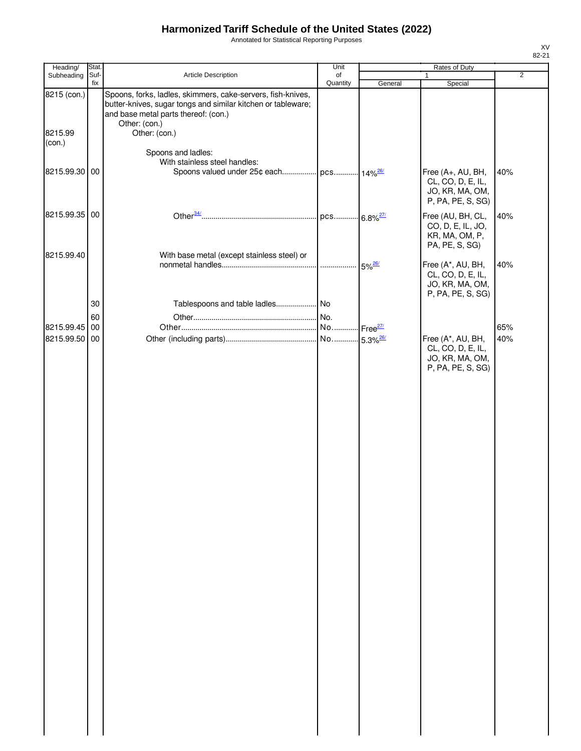Annotated for Statistical Reporting Purposes

| Heading/                    | Stat.       |                                                                                                                                                                                      | Unit           |                      | Rates of Duty                                                              |                |
|-----------------------------|-------------|--------------------------------------------------------------------------------------------------------------------------------------------------------------------------------------|----------------|----------------------|----------------------------------------------------------------------------|----------------|
| Subheading                  | Suf-<br>fix | <b>Article Description</b>                                                                                                                                                           | of<br>Quantity | General              | 1<br>Special                                                               | $\overline{2}$ |
| 8215 (con.)                 |             | Spoons, forks, ladles, skimmers, cake-servers, fish-knives,<br>butter-knives, sugar tongs and similar kitchen or tableware;<br>and base metal parts thereof: (con.)<br>Other: (con.) |                |                      |                                                                            |                |
| 8215.99<br>(con.)           |             | Other: (con.)                                                                                                                                                                        |                |                      |                                                                            |                |
| 8215.99.30 00               |             | Spoons and ladles:<br>With stainless steel handles:<br>Spoons valued under 25¢ each pcs 14% <sup>26/</sup>                                                                           |                |                      | Free (A+, AU, BH,                                                          | 40%            |
|                             |             |                                                                                                                                                                                      |                |                      | CL, CO, D, E, IL,<br>JO, KR, MA, OM,<br>P, PA, PE, S, SG)                  |                |
| 8215.99.35 00               |             |                                                                                                                                                                                      |                |                      | Free (AU, BH, CL,<br>CO, D, E, IL, JO,<br>KR, MA, OM, P,<br>PA, PE, S, SG) | 40%            |
| 8215.99.40                  |             | With base metal (except stainless steel) or                                                                                                                                          |                | $5\%$ <sup>26/</sup> | Free (A*, AU, BH,                                                          | 40%            |
|                             |             |                                                                                                                                                                                      |                |                      | CL, CO, D, E, IL,<br>JO, KR, MA, OM,<br>P, PA, PE, S, SG)                  |                |
|                             | 30          |                                                                                                                                                                                      |                |                      |                                                                            |                |
|                             | 60          |                                                                                                                                                                                      |                |                      |                                                                            |                |
| 8215.99.45<br>8215.99.50 00 | 00          |                                                                                                                                                                                      |                |                      | Free (A*, AU, BH,                                                          | 65%<br>40%     |
|                             |             |                                                                                                                                                                                      |                |                      | CL, CO, D, E, IL,<br>JO, KR, MA, OM,<br>P, PA, PE, S, SG)                  |                |
|                             |             |                                                                                                                                                                                      |                |                      |                                                                            |                |
|                             |             |                                                                                                                                                                                      |                |                      |                                                                            |                |
|                             |             |                                                                                                                                                                                      |                |                      |                                                                            |                |
|                             |             |                                                                                                                                                                                      |                |                      |                                                                            |                |
|                             |             |                                                                                                                                                                                      |                |                      |                                                                            |                |
|                             |             |                                                                                                                                                                                      |                |                      |                                                                            |                |
|                             |             |                                                                                                                                                                                      |                |                      |                                                                            |                |
|                             |             |                                                                                                                                                                                      |                |                      |                                                                            |                |
|                             |             |                                                                                                                                                                                      |                |                      |                                                                            |                |